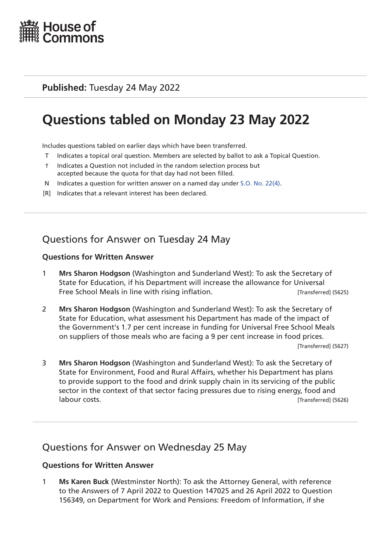

### **Published:** Tuesday 24 May 2022

# **Questions tabled on Monday 23 May 2022**

Includes questions tabled on earlier days which have been transferred.

- T Indicates a topical oral question. Members are selected by ballot to ask a Topical Question.
- † Indicates a Question not included in the random selection process but accepted because the quota for that day had not been filled.
- N Indicates a question for written answer on a named day under [S.O. No. 22\(4\)](http://publications.parliament.uk/pa/cm201719/cmstords/0004/body.html#22(4)).
- [R] Indicates that a relevant interest has been declared.

# Questions for Answer on Tuesday 24 May

#### **Questions for Written Answer**

- 1 **Mrs Sharon Hodgson** (Washington and Sunderland West): To ask the Secretary of State for Education, if his Department will increase the allowance for Universal Free School Meals in line with rising inflation. Transferred (5625)
- 2 **Mrs Sharon Hodgson** (Washington and Sunderland West): To ask the Secretary of State for Education, what assessment his Department has made of the impact of the Government's 1.7 per cent increase in funding for Universal Free School Meals on suppliers of those meals who are facing a 9 per cent increase in food prices.

[Transferred] (5627)

3 **Mrs Sharon Hodgson** (Washington and Sunderland West): To ask the Secretary of State for Environment, Food and Rural Affairs, whether his Department has plans to provide support to the food and drink supply chain in its servicing of the public sector in the context of that sector facing pressures due to rising energy, food and labour costs. [Transferred] (5626)

### Questions for Answer on Wednesday 25 May

### **Questions for Written Answer**

1 **Ms Karen Buck** (Westminster North): To ask the Attorney General, with reference to the Answers of 7 April 2022 to Question 147025 and 26 April 2022 to Question 156349, on Department for Work and Pensions: Freedom of Information, if she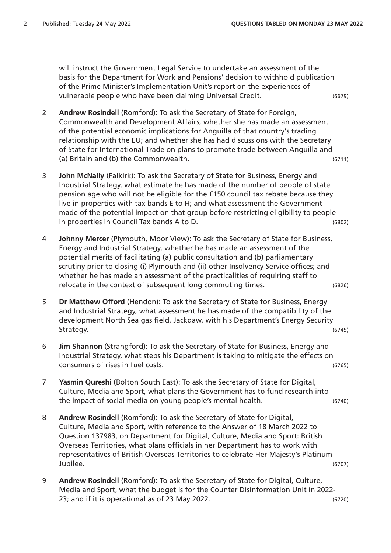will instruct the Government Legal Service to undertake an assessment of the basis for the Department for Work and Pensions' decision to withhold publication of the Prime Minister's Implementation Unit's report on the experiences of vulnerable people who have been claiming Universal Credit. (6679)

- 2 **Andrew Rosindell** (Romford): To ask the Secretary of State for Foreign, Commonwealth and Development Affairs, whether she has made an assessment of the potential economic implications for Anguilla of that country's trading relationship with the EU; and whether she has had discussions with the Secretary of State for International Trade on plans to promote trade between Anguilla and (a) Britain and (b) the Commonwealth. (6711)
- 3 **John McNally** (Falkirk): To ask the Secretary of State for Business, Energy and Industrial Strategy, what estimate he has made of the number of people of state pension age who will not be eligible for the £150 council tax rebate because they live in properties with tax bands E to H; and what assessment the Government made of the potential impact on that group before restricting eligibility to people in properties in Council Tax bands A to D. (6802)
- 4 **Johnny Mercer** (Plymouth, Moor View): To ask the Secretary of State for Business, Energy and Industrial Strategy, whether he has made an assessment of the potential merits of facilitating (a) public consultation and (b) parliamentary scrutiny prior to closing (i) Plymouth and (ii) other Insolvency Service offices; and whether he has made an assessment of the practicalities of requiring staff to relocate in the context of subsequent long commuting times. (6826)
- 5 **Dr Matthew Offord** (Hendon): To ask the Secretary of State for Business, Energy and Industrial Strategy, what assessment he has made of the compatibility of the development North Sea gas field, Jackdaw, with his Department's Energy Security Strategy. (6745)
- 6 **Jim Shannon** (Strangford): To ask the Secretary of State for Business, Energy and Industrial Strategy, what steps his Department is taking to mitigate the effects on consumers of rises in fuel costs. (6765)
- 7 **Yasmin Qureshi** (Bolton South East): To ask the Secretary of State for Digital, Culture, Media and Sport, what plans the Government has to fund research into the impact of social media on young people's mental health. (6740)
- 8 **Andrew Rosindell** (Romford): To ask the Secretary of State for Digital, Culture, Media and Sport, with reference to the Answer of 18 March 2022 to Question 137983, on Department for Digital, Culture, Media and Sport: British Overseas Territories, what plans officials in her Department has to work with representatives of British Overseas Territories to celebrate Her Majesty's Platinum Jubilee. (6707)
- 9 **Andrew Rosindell** (Romford): To ask the Secretary of State for Digital, Culture, Media and Sport, what the budget is for the Counter Disinformation Unit in 2022- 23; and if it is operational as of 23 May 2022. (6720)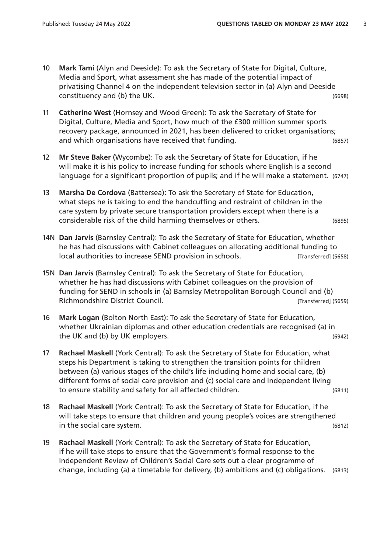- 10 **Mark Tami** (Alyn and Deeside): To ask the Secretary of State for Digital, Culture, Media and Sport, what assessment she has made of the potential impact of privatising Channel 4 on the independent television sector in (a) Alyn and Deeside constituency and (b) the UK. (6698)
- 11 **Catherine West** (Hornsey and Wood Green): To ask the Secretary of State for Digital, Culture, Media and Sport, how much of the £300 million summer sports recovery package, announced in 2021, has been delivered to cricket organisations; and which organisations have received that funding. (6857)
- 12 **Mr Steve Baker** (Wycombe): To ask the Secretary of State for Education, if he will make it is his policy to increase funding for schools where English is a second language for a significant proportion of pupils; and if he will make a statement. (6747)
- 13 **Marsha De Cordova** (Battersea): To ask the Secretary of State for Education, what steps he is taking to end the handcuffing and restraint of children in the care system by private secure transportation providers except when there is a considerable risk of the child harming themselves or others. (6895)
- 14N **Dan Jarvis** (Barnsley Central): To ask the Secretary of State for Education, whether he has had discussions with Cabinet colleagues on allocating additional funding to local authorities to increase SEND provision in schools. [Transferred] (5658)
- 15N **Dan Jarvis** (Barnsley Central): To ask the Secretary of State for Education, whether he has had discussions with Cabinet colleagues on the provision of funding for SEND in schools in (a) Barnsley Metropolitan Borough Council and (b) Richmondshire District Council. **Example 20 and Secure 20 and Secure 20 and Secure 20 and Secure 20 and Secure 20**
- 16 **Mark Logan** (Bolton North East): To ask the Secretary of State for Education, whether Ukrainian diplomas and other education credentials are recognised (a) in the UK and (b) by UK employers. (6942)
- 17 **Rachael Maskell** (York Central): To ask the Secretary of State for Education, what steps his Department is taking to strengthen the transition points for children between (a) various stages of the child's life including home and social care, (b) different forms of social care provision and (c) social care and independent living to ensure stability and safety for all affected children. (6811)
- 18 **Rachael Maskell** (York Central): To ask the Secretary of State for Education, if he will take steps to ensure that children and young people's voices are strengthened in the social care system. (6812)
- 19 **Rachael Maskell** (York Central): To ask the Secretary of State for Education, if he will take steps to ensure that the Government's formal response to the Independent Review of Children's Social Care sets out a clear programme of change, including (a) a timetable for delivery, (b) ambitions and (c) obligations. (6813)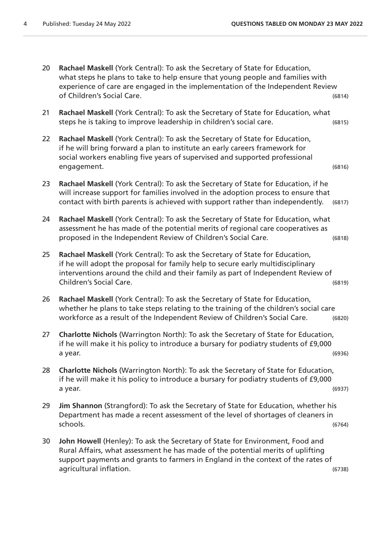| 20 | Rachael Maskell (York Central): To ask the Secretary of State for Education,<br>what steps he plans to take to help ensure that young people and families with<br>experience of care are engaged in the implementation of the Independent Review                                |        |
|----|---------------------------------------------------------------------------------------------------------------------------------------------------------------------------------------------------------------------------------------------------------------------------------|--------|
|    | of Children's Social Care.                                                                                                                                                                                                                                                      | (6814) |
| 21 | Rachael Maskell (York Central): To ask the Secretary of State for Education, what<br>steps he is taking to improve leadership in children's social care.                                                                                                                        | (6815) |
| 22 | Rachael Maskell (York Central): To ask the Secretary of State for Education,<br>if he will bring forward a plan to institute an early careers framework for<br>social workers enabling five years of supervised and supported professional<br>engagement.                       | (6816) |
| 23 | Rachael Maskell (York Central): To ask the Secretary of State for Education, if he<br>will increase support for families involved in the adoption process to ensure that<br>contact with birth parents is achieved with support rather than independently.                      | (6817) |
| 24 | Rachael Maskell (York Central): To ask the Secretary of State for Education, what<br>assessment he has made of the potential merits of regional care cooperatives as<br>proposed in the Independent Review of Children's Social Care.                                           | (6818) |
| 25 | Rachael Maskell (York Central): To ask the Secretary of State for Education,<br>if he will adopt the proposal for family help to secure early multidisciplinary<br>interventions around the child and their family as part of Independent Review of<br>Children's Social Care.  | (6819) |
| 26 | Rachael Maskell (York Central): To ask the Secretary of State for Education,<br>whether he plans to take steps relating to the training of the children's social care<br>workforce as a result of the Independent Review of Children's Social Care.                             | (6820) |
| 27 | Charlotte Nichols (Warrington North): To ask the Secretary of State for Education,<br>if he will make it his policy to introduce a bursary for podiatry students of £9,000<br>a year.                                                                                           | (6936) |
| 28 | Charlotte Nichols (Warrington North): To ask the Secretary of State for Education,<br>if he will make it his policy to introduce a bursary for podiatry students of £9,000<br>a year.                                                                                           | (6937) |
| 29 | Jim Shannon (Strangford): To ask the Secretary of State for Education, whether his<br>Department has made a recent assessment of the level of shortages of cleaners in<br>schools.                                                                                              | (6764) |
| 30 | John Howell (Henley): To ask the Secretary of State for Environment, Food and<br>Rural Affairs, what assessment he has made of the potential merits of uplifting<br>support payments and grants to farmers in England in the context of the rates of<br>agricultural inflation. | (6738) |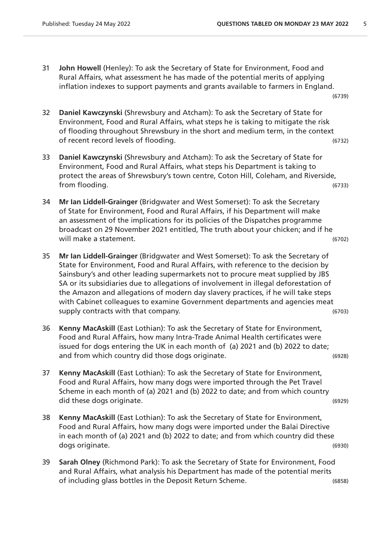31 **John Howell** (Henley): To ask the Secretary of State for Environment, Food and Rural Affairs, what assessment he has made of the potential merits of applying inflation indexes to support payments and grants available to farmers in England.

(6739)

- 32 **Daniel Kawczynski** (Shrewsbury and Atcham): To ask the Secretary of State for Environment, Food and Rural Affairs, what steps he is taking to mitigate the risk of flooding throughout Shrewsbury in the short and medium term, in the context of recent record levels of flooding. (6732)
- 33 **Daniel Kawczynski** (Shrewsbury and Atcham): To ask the Secretary of State for Environment, Food and Rural Affairs, what steps his Department is taking to protect the areas of Shrewsbury's town centre, Coton Hill, Coleham, and Riverside, from flooding. (6733)
- 34 **Mr Ian Liddell-Grainger** (Bridgwater and West Somerset): To ask the Secretary of State for Environment, Food and Rural Affairs, if his Department will make an assessment of the implications for its policies of the Dispatches programme broadcast on 29 November 2021 entitled, The truth about your chicken; and if he will make a statement. (6702)
- 35 **Mr Ian Liddell-Grainger** (Bridgwater and West Somerset): To ask the Secretary of State for Environment, Food and Rural Affairs, with reference to the decision by Sainsbury's and other leading supermarkets not to procure meat supplied by JBS SA or its subsidiaries due to allegations of involvement in illegal deforestation of the Amazon and allegations of modern day slavery practices, if he will take steps with Cabinet colleagues to examine Government departments and agencies meat supply contracts with that company. (6703)
- 36 **Kenny MacAskill** (East Lothian): To ask the Secretary of State for Environment, Food and Rural Affairs, how many Intra-Trade Animal Health certificates were issued for dogs entering the UK in each month of (a) 2021 and (b) 2022 to date; and from which country did those dogs originate. (6928)
- 37 **Kenny MacAskill** (East Lothian): To ask the Secretary of State for Environment, Food and Rural Affairs, how many dogs were imported through the Pet Travel Scheme in each month of (a) 2021 and (b) 2022 to date; and from which country did these dogs originate. (6929)
- 38 **Kenny MacAskill** (East Lothian): To ask the Secretary of State for Environment, Food and Rural Affairs, how many dogs were imported under the Balai Directive in each month of (a) 2021 and (b) 2022 to date; and from which country did these dogs originate. (6930)
- 39 **Sarah Olney** (Richmond Park): To ask the Secretary of State for Environment, Food and Rural Affairs, what analysis his Department has made of the potential merits of including glass bottles in the Deposit Return Scheme. (6858)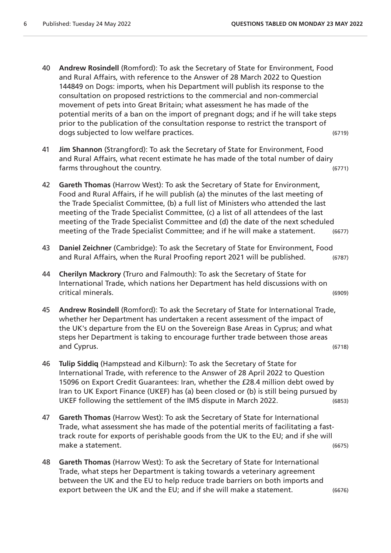- 40 **Andrew Rosindell** (Romford): To ask the Secretary of State for Environment, Food and Rural Affairs, with reference to the Answer of 28 March 2022 to Question 144849 on Dogs: imports, when his Department will publish its response to the consultation on proposed restrictions to the commercial and non-commercial movement of pets into Great Britain; what assessment he has made of the potential merits of a ban on the import of pregnant dogs; and if he will take steps prior to the publication of the consultation response to restrict the transport of dogs subjected to low welfare practices. (6719)
- 41 **Jim Shannon** (Strangford): To ask the Secretary of State for Environment, Food and Rural Affairs, what recent estimate he has made of the total number of dairy farms throughout the country. (6771)
- 42 **Gareth Thomas** (Harrow West): To ask the Secretary of State for Environment, Food and Rural Affairs, if he will publish (a) the minutes of the last meeting of the Trade Specialist Committee, (b) a full list of Ministers who attended the last meeting of the Trade Specialist Committee, (c) a list of all attendees of the last meeting of the Trade Specialist Committee and (d) the date of the next scheduled meeting of the Trade Specialist Committee; and if he will make a statement. (6677)
- 43 **Daniel Zeichner** (Cambridge): To ask the Secretary of State for Environment, Food and Rural Affairs, when the Rural Proofing report 2021 will be published. (6787)
- 44 **Cherilyn Mackrory** (Truro and Falmouth): To ask the Secretary of State for International Trade, which nations her Department has held discussions with on critical minerals. (6909)
- 45 **Andrew Rosindell** (Romford): To ask the Secretary of State for International Trade, whether her Department has undertaken a recent assessment of the impact of the UK's departure from the EU on the Sovereign Base Areas in Cyprus; and what steps her Department is taking to encourage further trade between those areas and Cyprus. (6718)
- 46 **Tulip Siddiq** (Hampstead and Kilburn): To ask the Secretary of State for International Trade, with reference to the Answer of 28 April 2022 to Question 15096 on Export Credit Guarantees: Iran, whether the £28.4 million debt owed by Iran to UK Export Finance (UKEF) has (a) been closed or (b) is still being pursued by UKEF following the settlement of the IMS dispute in March 2022. (6853)
- 47 **Gareth Thomas** (Harrow West): To ask the Secretary of State for International Trade, what assessment she has made of the potential merits of facilitating a fasttrack route for exports of perishable goods from the UK to the EU; and if she will make a statement. (6675)
- 48 **Gareth Thomas** (Harrow West): To ask the Secretary of State for International Trade, what steps her Department is taking towards a veterinary agreement between the UK and the EU to help reduce trade barriers on both imports and export between the UK and the EU; and if she will make a statement. (6676)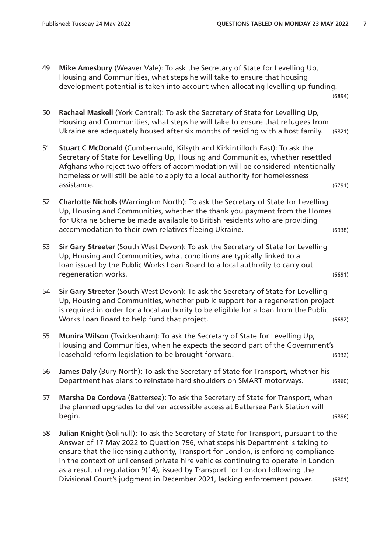49 **Mike Amesbury** (Weaver Vale): To ask the Secretary of State for Levelling Up, Housing and Communities, what steps he will take to ensure that housing development potential is taken into account when allocating levelling up funding. (6894)

50 **Rachael Maskell** (York Central): To ask the Secretary of State for Levelling Up, Housing and Communities, what steps he will take to ensure that refugees from Ukraine are adequately housed after six months of residing with a host family. (6821)

- 51 **Stuart C McDonald** (Cumbernauld, Kilsyth and Kirkintilloch East): To ask the Secretary of State for Levelling Up, Housing and Communities, whether resettled Afghans who reject two offers of accommodation will be considered intentionally homeless or will still be able to apply to a local authority for homelessness assistance. (6791)
- 52 **Charlotte Nichols** (Warrington North): To ask the Secretary of State for Levelling Up, Housing and Communities, whether the thank you payment from the Homes for Ukraine Scheme be made available to British residents who are providing accommodation to their own relatives fleeing Ukraine. (6938)
- 53 **Sir Gary Streeter** (South West Devon): To ask the Secretary of State for Levelling Up, Housing and Communities, what conditions are typically linked to a loan issued by the Public Works Loan Board to a local authority to carry out regeneration works. (6691)
- 54 **Sir Gary Streeter** (South West Devon): To ask the Secretary of State for Levelling Up, Housing and Communities, whether public support for a regeneration project is required in order for a local authority to be eligible for a loan from the Public Works Loan Board to help fund that project. (6692)
- 55 **Munira Wilson** (Twickenham): To ask the Secretary of State for Levelling Up, Housing and Communities, when he expects the second part of the Government's leasehold reform legislation to be brought forward. (6932)
- 56 **James Daly** (Bury North): To ask the Secretary of State for Transport, whether his Department has plans to reinstate hard shoulders on SMART motorways. (6960)
- 57 **Marsha De Cordova** (Battersea): To ask the Secretary of State for Transport, when the planned upgrades to deliver accessible access at Battersea Park Station will begin. (6896)
- 58 **Julian Knight** (Solihull): To ask the Secretary of State for Transport, pursuant to the Answer of 17 May 2022 to Question 796, what steps his Department is taking to ensure that the licensing authority, Transport for London, is enforcing compliance in the context of unlicensed private hire vehicles continuing to operate in London as a result of regulation 9(14), issued by Transport for London following the Divisional Court's judgment in December 2021, lacking enforcement power. (6801)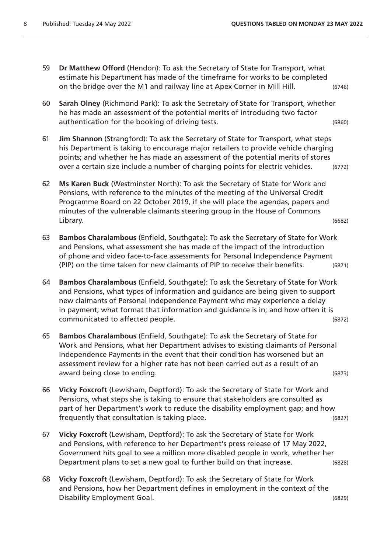- 59 **Dr Matthew Offord** (Hendon): To ask the Secretary of State for Transport, what estimate his Department has made of the timeframe for works to be completed on the bridge over the M1 and railway line at Apex Corner in Mill Hill. (6746)
- 60 **Sarah Olney** (Richmond Park): To ask the Secretary of State for Transport, whether he has made an assessment of the potential merits of introducing two factor authentication for the booking of driving tests. (6860)
- 61 **Jim Shannon** (Strangford): To ask the Secretary of State for Transport, what steps his Department is taking to encourage major retailers to provide vehicle charging points; and whether he has made an assessment of the potential merits of stores over a certain size include a number of charging points for electric vehicles. (6772)
- 62 **Ms Karen Buck** (Westminster North): To ask the Secretary of State for Work and Pensions, with reference to the minutes of the meeting of the Universal Credit Programme Board on 22 October 2019, if she will place the agendas, papers and minutes of the vulnerable claimants steering group in the House of Commons Library. (6682)
- 63 **Bambos Charalambous** (Enfield, Southgate): To ask the Secretary of State for Work and Pensions, what assessment she has made of the impact of the introduction of phone and video face-to-face assessments for Personal Independence Payment (PIP) on the time taken for new claimants of PIP to receive their benefits. (6871)
- 64 **Bambos Charalambous** (Enfield, Southgate): To ask the Secretary of State for Work and Pensions, what types of information and guidance are being given to support new claimants of Personal Independence Payment who may experience a delay in payment; what format that information and guidance is in; and how often it is communicated to affected people. (6872)
- 65 **Bambos Charalambous** (Enfield, Southgate): To ask the Secretary of State for Work and Pensions, what her Department advises to existing claimants of Personal Independence Payments in the event that their condition has worsened but an assessment review for a higher rate has not been carried out as a result of an award being close to ending. (6873)
- 66 **Vicky Foxcroft** (Lewisham, Deptford): To ask the Secretary of State for Work and Pensions, what steps she is taking to ensure that stakeholders are consulted as part of her Department's work to reduce the disability employment gap; and how frequently that consultation is taking place. (6827)
- 67 **Vicky Foxcroft** (Lewisham, Deptford): To ask the Secretary of State for Work and Pensions, with reference to her Department's press release of 17 May 2022, Government hits goal to see a million more disabled people in work, whether her Department plans to set a new goal to further build on that increase. (6828)
- 68 **Vicky Foxcroft** (Lewisham, Deptford): To ask the Secretary of State for Work and Pensions, how her Department defines in employment in the context of the Disability Employment Goal. (6829)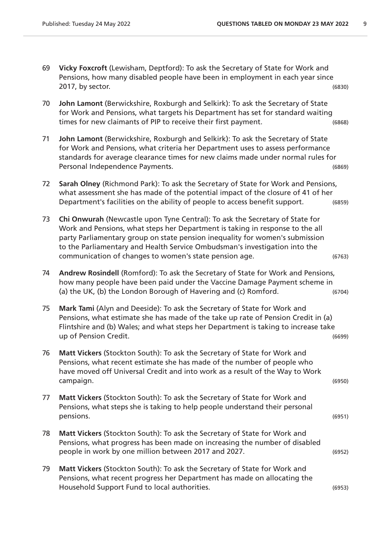- 69 **Vicky Foxcroft** (Lewisham, Deptford): To ask the Secretary of State for Work and Pensions, how many disabled people have been in employment in each year since 2017, by sector. (6830)
- 70 **John Lamont** (Berwickshire, Roxburgh and Selkirk): To ask the Secretary of State for Work and Pensions, what targets his Department has set for standard waiting times for new claimants of PIP to receive their first payment. (6868)
- 71 **John Lamont** (Berwickshire, Roxburgh and Selkirk): To ask the Secretary of State for Work and Pensions, what criteria her Department uses to assess performance standards for average clearance times for new claims made under normal rules for Personal Independence Payments. (6869)
- 72 **Sarah Olney** (Richmond Park): To ask the Secretary of State for Work and Pensions, what assessment she has made of the potential impact of the closure of 41 of her Department's facilities on the ability of people to access benefit support. (6859)
- 73 **Chi Onwurah** (Newcastle upon Tyne Central): To ask the Secretary of State for Work and Pensions, what steps her Department is taking in response to the all party Parliamentary group on state pension inequality for women's submission to the Parliamentary and Health Service Ombudsman's investigation into the communication of changes to women's state pension age. (6763)
- 74 **Andrew Rosindell** (Romford): To ask the Secretary of State for Work and Pensions, how many people have been paid under the Vaccine Damage Payment scheme in (a) the UK, (b) the London Borough of Havering and (c) Romford. (6704)
- 75 **Mark Tami** (Alyn and Deeside): To ask the Secretary of State for Work and Pensions, what estimate she has made of the take up rate of Pension Credit in (a) Flintshire and (b) Wales; and what steps her Department is taking to increase take up of Pension Credit. (6699)
- 76 **Matt Vickers** (Stockton South): To ask the Secretary of State for Work and Pensions, what recent estimate she has made of the number of people who have moved off Universal Credit and into work as a result of the Way to Work campaign. (6950)
- 77 **Matt Vickers** (Stockton South): To ask the Secretary of State for Work and Pensions, what steps she is taking to help people understand their personal pensions. (6951)
- 78 **Matt Vickers** (Stockton South): To ask the Secretary of State for Work and Pensions, what progress has been made on increasing the number of disabled people in work by one million between 2017 and 2027. (6952)
- 79 **Matt Vickers** (Stockton South): To ask the Secretary of State for Work and Pensions, what recent progress her Department has made on allocating the Household Support Fund to local authorities. (6953)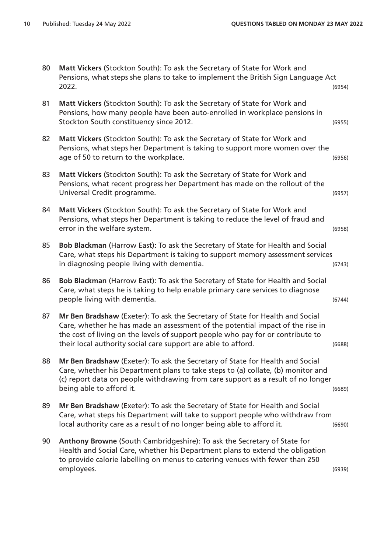| 80 | Matt Vickers (Stockton South): To ask the Secretary of State for Work and         |        |
|----|-----------------------------------------------------------------------------------|--------|
|    | Pensions, what steps she plans to take to implement the British Sign Language Act |        |
|    | 2022.                                                                             | (6954) |

- 81 **Matt Vickers** (Stockton South): To ask the Secretary of State for Work and Pensions, how many people have been auto-enrolled in workplace pensions in Stockton South constituency since 2012. (6955)
- 82 **Matt Vickers** (Stockton South): To ask the Secretary of State for Work and Pensions, what steps her Department is taking to support more women over the age of 50 to return to the workplace.  $(6956)$
- 83 **Matt Vickers** (Stockton South): To ask the Secretary of State for Work and Pensions, what recent progress her Department has made on the rollout of the Universal Credit programme. (6957)
- 84 **Matt Vickers** (Stockton South): To ask the Secretary of State for Work and Pensions, what steps her Department is taking to reduce the level of fraud and error in the welfare system. (6958)
- 85 **Bob Blackman** (Harrow East): To ask the Secretary of State for Health and Social Care, what steps his Department is taking to support memory assessment services in diagnosing people living with dementia. (6743)
- 86 **Bob Blackman** (Harrow East): To ask the Secretary of State for Health and Social Care, what steps he is taking to help enable primary care services to diagnose people living with dementia. (6744)
- 87 **Mr Ben Bradshaw** (Exeter): To ask the Secretary of State for Health and Social Care, whether he has made an assessment of the potential impact of the rise in the cost of living on the levels of support people who pay for or contribute to their local authority social care support are able to afford. (6688)
- 88 **Mr Ben Bradshaw** (Exeter): To ask the Secretary of State for Health and Social Care, whether his Department plans to take steps to (a) collate, (b) monitor and (c) report data on people withdrawing from care support as a result of no longer being able to afford it. (6689)
- 89 **Mr Ben Bradshaw** (Exeter): To ask the Secretary of State for Health and Social Care, what steps his Department will take to support people who withdraw from local authority care as a result of no longer being able to afford it. (6690)
- 90 **Anthony Browne** (South Cambridgeshire): To ask the Secretary of State for Health and Social Care, whether his Department plans to extend the obligation to provide calorie labelling on menus to catering venues with fewer than 250 employees. (6939)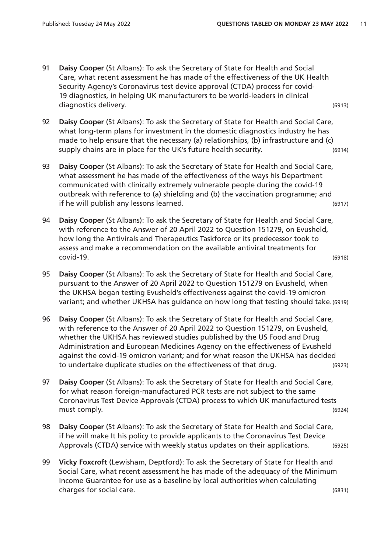- 91 **Daisy Cooper** (St Albans): To ask the Secretary of State for Health and Social Care, what recent assessment he has made of the effectiveness of the UK Health Security Agency's Coronavirus test device approval (CTDA) process for covid-19 diagnostics, in helping UK manufacturers to be world-leaders in clinical diagnostics delivery. (6913)
- 92 **Daisy Cooper** (St Albans): To ask the Secretary of State for Health and Social Care, what long-term plans for investment in the domestic diagnostics industry he has made to help ensure that the necessary (a) relationships, (b) infrastructure and (c) supply chains are in place for the UK's future health security. (6914)
- 93 **Daisy Cooper** (St Albans): To ask the Secretary of State for Health and Social Care, what assessment he has made of the effectiveness of the ways his Department communicated with clinically extremely vulnerable people during the covid-19 outbreak with reference to (a) shielding and (b) the vaccination programme; and if he will publish any lessons learned. (6917)
- 94 **Daisy Cooper** (St Albans): To ask the Secretary of State for Health and Social Care, with reference to the Answer of 20 April 2022 to Question 151279, on Evusheld, how long the Antivirals and Therapeutics Taskforce or its predecessor took to assess and make a recommendation on the available antiviral treatments for covid-19. (6918)
- 95 **Daisy Cooper** (St Albans): To ask the Secretary of State for Health and Social Care, pursuant to the Answer of 20 April 2022 to Question 151279 on Evusheld, when the UKHSA began testing Evusheld's effectiveness against the covid-19 omicron variant; and whether UKHSA has guidance on how long that testing should take.(6919)
- 96 **Daisy Cooper** (St Albans): To ask the Secretary of State for Health and Social Care, with reference to the Answer of 20 April 2022 to Question 151279, on Evusheld, whether the UKHSA has reviewed studies published by the US Food and Drug Administration and European Medicines Agency on the effectiveness of Evusheld against the covid-19 omicron variant; and for what reason the UKHSA has decided to undertake duplicate studies on the effectiveness of that drug. (6923)
- 97 **Daisy Cooper** (St Albans): To ask the Secretary of State for Health and Social Care, for what reason foreign-manufactured PCR tests are not subject to the same Coronavirus Test Device Approvals (CTDA) process to which UK manufactured tests must comply. (6924)
- 98 **Daisy Cooper** (St Albans): To ask the Secretary of State for Health and Social Care, if he will make It his policy to provide applicants to the Coronavirus Test Device Approvals (CTDA) service with weekly status updates on their applications. (6925)
- 99 **Vicky Foxcroft** (Lewisham, Deptford): To ask the Secretary of State for Health and Social Care, what recent assessment he has made of the adequacy of the Minimum Income Guarantee for use as a baseline by local authorities when calculating charges for social care. (6831)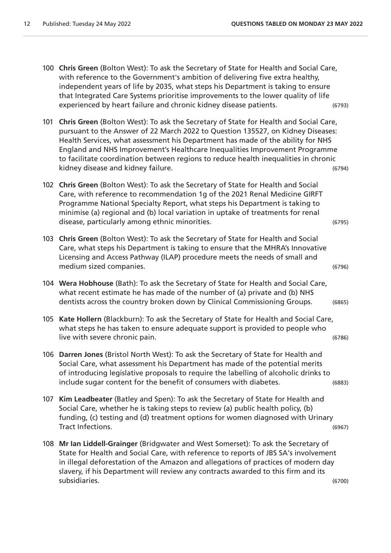- 100 **Chris Green** (Bolton West): To ask the Secretary of State for Health and Social Care, with reference to the Government's ambition of delivering five extra healthy, independent years of life by 2035, what steps his Department is taking to ensure that Integrated Care Systems prioritise improvements to the lower quality of life experienced by heart failure and chronic kidney disease patients. (6793)
- 101 **Chris Green** (Bolton West): To ask the Secretary of State for Health and Social Care, pursuant to the Answer of 22 March 2022 to Question 135527, on Kidney Diseases: Health Services, what assessment his Department has made of the ability for NHS England and NHS Improvement's Healthcare Inequalities Improvement Programme to facilitate coordination between regions to reduce health inequalities in chronic kidney disease and kidney failure. (6794)
- 102 **Chris Green** (Bolton West): To ask the Secretary of State for Health and Social Care, with reference to recommendation 1g of the 2021 Renal Medicine GIRFT Programme National Specialty Report, what steps his Department is taking to minimise (a) regional and (b) local variation in uptake of treatments for renal disease, particularly among ethnic minorities. (6795)
- 103 **Chris Green** (Bolton West): To ask the Secretary of State for Health and Social Care, what steps his Department is taking to ensure that the MHRA's Innovative Licensing and Access Pathway (ILAP) procedure meets the needs of small and medium sized companies. (6796)
- 104 **Wera Hobhouse** (Bath): To ask the Secretary of State for Health and Social Care, what recent estimate he has made of the number of (a) private and (b) NHS dentists across the country broken down by Clinical Commissioning Groups. (6865)
- 105 **Kate Hollern** (Blackburn): To ask the Secretary of State for Health and Social Care, what steps he has taken to ensure adequate support is provided to people who live with severe chronic pain. (6786)
- 106 **Darren Jones** (Bristol North West): To ask the Secretary of State for Health and Social Care, what assessment his Department has made of the potential merits of introducing legislative proposals to require the labelling of alcoholic drinks to include sugar content for the benefit of consumers with diabetes. (6883)
- 107 **Kim Leadbeater** (Batley and Spen): To ask the Secretary of State for Health and Social Care, whether he is taking steps to review (a) public health policy, (b) funding, (c) testing and (d) treatment options for women diagnosed with Urinary Tract Infections. (6967)
- 108 **Mr Ian Liddell-Grainger** (Bridgwater and West Somerset): To ask the Secretary of State for Health and Social Care, with reference to reports of JBS SA's involvement in illegal deforestation of the Amazon and allegations of practices of modern day slavery, if his Department will review any contracts awarded to this firm and its subsidiaries. (6700)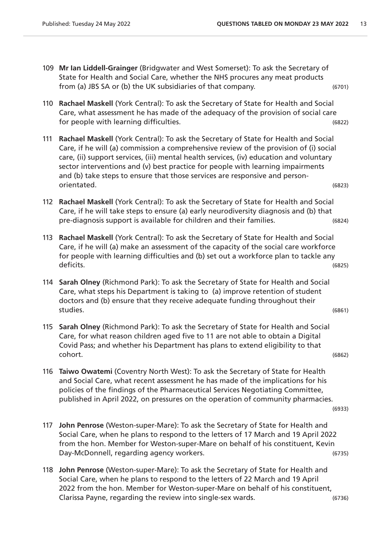- 109 **Mr Ian Liddell-Grainger** (Bridgwater and West Somerset): To ask the Secretary of State for Health and Social Care, whether the NHS procures any meat products from (a) JBS SA or (b) the UK subsidiaries of that company. (6701)
- 110 **Rachael Maskell** (York Central): To ask the Secretary of State for Health and Social Care, what assessment he has made of the adequacy of the provision of social care for people with learning difficulties. (6822)
- 111 **Rachael Maskell** (York Central): To ask the Secretary of State for Health and Social Care, if he will (a) commission a comprehensive review of the provision of (i) social care, (ii) support services, (iii) mental health services, (iv) education and voluntary sector interventions and (v) best practice for people with learning impairments and (b) take steps to ensure that those services are responsive and personorientated. (6823)
- 112 **Rachael Maskell** (York Central): To ask the Secretary of State for Health and Social Care, if he will take steps to ensure (a) early neurodiversity diagnosis and (b) that pre-diagnosis support is available for children and their families. (6824)
- 113 **Rachael Maskell** (York Central): To ask the Secretary of State for Health and Social Care, if he will (a) make an assessment of the capacity of the social care workforce for people with learning difficulties and (b) set out a workforce plan to tackle any deficits. (6825)
- 114 **Sarah Olney** (Richmond Park): To ask the Secretary of State for Health and Social Care, what steps his Department is taking to (a) improve retention of student doctors and (b) ensure that they receive adequate funding throughout their studies. (6861)
- 115 **Sarah Olney** (Richmond Park): To ask the Secretary of State for Health and Social Care, for what reason children aged five to 11 are not able to obtain a Digital Covid Pass; and whether his Department has plans to extend eligibility to that cohort. (6862)
- 116 **Taiwo Owatemi** (Coventry North West): To ask the Secretary of State for Health and Social Care, what recent assessment he has made of the implications for his policies of the findings of the Pharmaceutical Services Negotiating Committee, published in April 2022, on pressures on the operation of community pharmacies.

(6933)

- 117 **John Penrose** (Weston-super-Mare): To ask the Secretary of State for Health and Social Care, when he plans to respond to the letters of 17 March and 19 April 2022 from the hon. Member for Weston-super-Mare on behalf of his constituent, Kevin Day-McDonnell, regarding agency workers. (6735)
- 118 **John Penrose** (Weston-super-Mare): To ask the Secretary of State for Health and Social Care, when he plans to respond to the letters of 22 March and 19 April 2022 from the hon. Member for Weston-super-Mare on behalf of his constituent, Clarissa Payne, regarding the review into single-sex wards. (6736)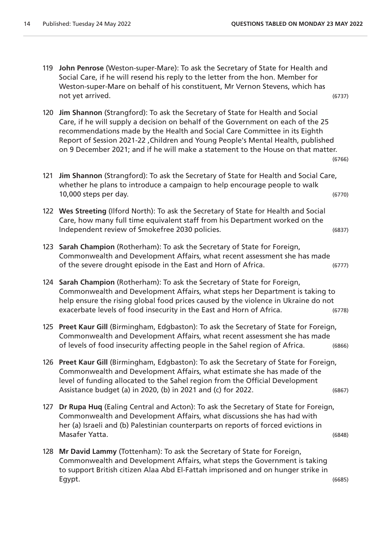- 119 **John Penrose** (Weston-super-Mare): To ask the Secretary of State for Health and Social Care, if he will resend his reply to the letter from the hon. Member for Weston-super-Mare on behalf of his constituent, Mr Vernon Stevens, which has not yet arrived. (6737)
- 120 **Jim Shannon** (Strangford): To ask the Secretary of State for Health and Social Care, if he will supply a decision on behalf of the Government on each of the 25 recommendations made by the Health and Social Care Committee in its Eighth Report of Session 2021-22 ,Children and Young People's Mental Health, published on 9 December 2021; and if he will make a statement to the House on that matter.
- 121 **Jim Shannon** (Strangford): To ask the Secretary of State for Health and Social Care, whether he plans to introduce a campaign to help encourage people to walk 10,000 steps per day. (6770)
- 122 **Wes Streeting** (Ilford North): To ask the Secretary of State for Health and Social Care, how many full time equivalent staff from his Department worked on the Independent review of Smokefree 2030 policies. (6837)
- 123 **Sarah Champion** (Rotherham): To ask the Secretary of State for Foreign, Commonwealth and Development Affairs, what recent assessment she has made of the severe drought episode in the East and Horn of Africa. (6777)
- 124 **Sarah Champion** (Rotherham): To ask the Secretary of State for Foreign, Commonwealth and Development Affairs, what steps her Department is taking to help ensure the rising global food prices caused by the violence in Ukraine do not exacerbate levels of food insecurity in the East and Horn of Africa. (6778)
- 125 **Preet Kaur Gill** (Birmingham, Edgbaston): To ask the Secretary of State for Foreign, Commonwealth and Development Affairs, what recent assessment she has made of levels of food insecurity affecting people in the Sahel region of Africa. (6866)
- 126 **Preet Kaur Gill** (Birmingham, Edgbaston): To ask the Secretary of State for Foreign, Commonwealth and Development Affairs, what estimate she has made of the level of funding allocated to the Sahel region from the Official Development Assistance budget (a) in 2020, (b) in 2021 and (c) for 2022. (6867)
- 127 **Dr Rupa Huq** (Ealing Central and Acton): To ask the Secretary of State for Foreign, Commonwealth and Development Affairs, what discussions she has had with her (a) Israeli and (b) Palestinian counterparts on reports of forced evictions in Masafer Yatta. (6848)
- 128 **Mr David Lammy** (Tottenham): To ask the Secretary of State for Foreign, Commonwealth and Development Affairs, what steps the Government is taking to support British citizen Alaa Abd El-Fattah imprisoned and on hunger strike in Egypt. (6685)

(6766)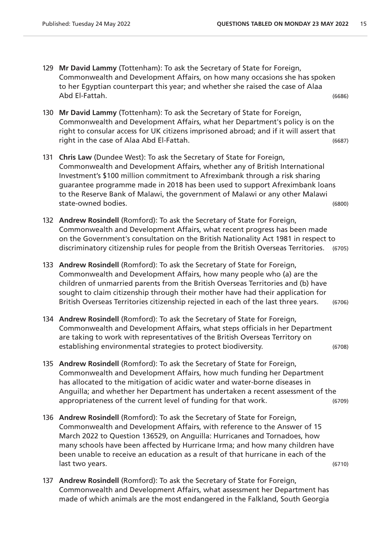- 129 **Mr David Lammy** (Tottenham): To ask the Secretary of State for Foreign, Commonwealth and Development Affairs, on how many occasions she has spoken to her Egyptian counterpart this year; and whether she raised the case of Alaa Abd El-Fattah. (6686)
- 130 **Mr David Lammy** (Tottenham): To ask the Secretary of State for Foreign, Commonwealth and Development Affairs, what her Department's policy is on the right to consular access for UK citizens imprisoned abroad; and if it will assert that right in the case of Alaa Abd El-Fattah. (6687)
- 131 **Chris Law** (Dundee West): To ask the Secretary of State for Foreign, Commonwealth and Development Affairs, whether any of British International Investment's \$100 million commitment to Afreximbank through a risk sharing guarantee programme made in 2018 has been used to support Afreximbank loans to the Reserve Bank of Malawi, the government of Malawi or any other Malawi state-owned bodies. (6800)
- 132 **Andrew Rosindell** (Romford): To ask the Secretary of State for Foreign, Commonwealth and Development Affairs, what recent progress has been made on the Government's consultation on the British Nationality Act 1981 in respect to discriminatory citizenship rules for people from the British Overseas Territories. (6705)
- 133 **Andrew Rosindell** (Romford): To ask the Secretary of State for Foreign, Commonwealth and Development Affairs, how many people who (a) are the children of unmarried parents from the British Overseas Territories and (b) have sought to claim citizenship through their mother have had their application for British Overseas Territories citizenship rejected in each of the last three years. (6706)
- 134 **Andrew Rosindell** (Romford): To ask the Secretary of State for Foreign, Commonwealth and Development Affairs, what steps officials in her Department are taking to work with representatives of the British Overseas Territory on establishing environmental strategies to protect biodiversity. (6708)
- 135 **Andrew Rosindell** (Romford): To ask the Secretary of State for Foreign, Commonwealth and Development Affairs, how much funding her Department has allocated to the mitigation of acidic water and water-borne diseases in Anguilla; and whether her Department has undertaken a recent assessment of the appropriateness of the current level of funding for that work. (6709)
- 136 **Andrew Rosindell** (Romford): To ask the Secretary of State for Foreign, Commonwealth and Development Affairs, with reference to the Answer of 15 March 2022 to Question 136529, on Anguilla: Hurricanes and Tornadoes, how many schools have been affected by Hurricane Irma; and how many children have been unable to receive an education as a result of that hurricane in each of the last two years. (6710)
- 137 **Andrew Rosindell** (Romford): To ask the Secretary of State for Foreign, Commonwealth and Development Affairs, what assessment her Department has made of which animals are the most endangered in the Falkland, South Georgia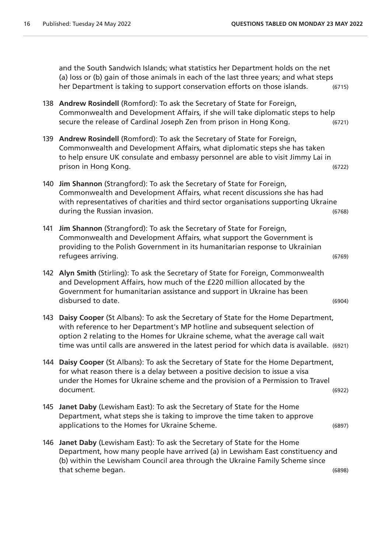and the South Sandwich Islands; what statistics her Department holds on the net (a) loss or (b) gain of those animals in each of the last three years; and what steps her Department is taking to support conservation efforts on those islands. (6715)

- 138 **Andrew Rosindell** (Romford): To ask the Secretary of State for Foreign, Commonwealth and Development Affairs, if she will take diplomatic steps to help secure the release of Cardinal Joseph Zen from prison in Hong Kong. (6721)
- 139 **Andrew Rosindell** (Romford): To ask the Secretary of State for Foreign, Commonwealth and Development Affairs, what diplomatic steps she has taken to help ensure UK consulate and embassy personnel are able to visit Jimmy Lai in prison in Hong Kong. (6722)
- 140 **Jim Shannon** (Strangford): To ask the Secretary of State for Foreign, Commonwealth and Development Affairs, what recent discussions she has had with representatives of charities and third sector organisations supporting Ukraine during the Russian invasion. The contract of the Contract of the Contract of the Contract of the Contract of the Contract of the Contract of the Contract of the Contract of the Contract of the Contract of the Contract of t
- 141 **Jim Shannon** (Strangford): To ask the Secretary of State for Foreign, Commonwealth and Development Affairs, what support the Government is providing to the Polish Government in its humanitarian response to Ukrainian refugees arriving. (6769)
- 142 **Alyn Smith** (Stirling): To ask the Secretary of State for Foreign, Commonwealth and Development Affairs, how much of the £220 million allocated by the Government for humanitarian assistance and support in Ukraine has been disbursed to date. (6904)
- 143 **Daisy Cooper** (St Albans): To ask the Secretary of State for the Home Department, with reference to her Department's MP hotline and subsequent selection of option 2 relating to the Homes for Ukraine scheme, what the average call wait time was until calls are answered in the latest period for which data is available. (6921)
- 144 **Daisy Cooper** (St Albans): To ask the Secretary of State for the Home Department, for what reason there is a delay between a positive decision to issue a visa under the Homes for Ukraine scheme and the provision of a Permission to Travel document. (6922)
- 145 **Janet Daby** (Lewisham East): To ask the Secretary of State for the Home Department, what steps she is taking to improve the time taken to approve applications to the Homes for Ukraine Scheme. (6897)
- 146 **Janet Daby** (Lewisham East): To ask the Secretary of State for the Home Department, how many people have arrived (a) in Lewisham East constituency and (b) within the Lewisham Council area through the Ukraine Family Scheme since that scheme began. (6898)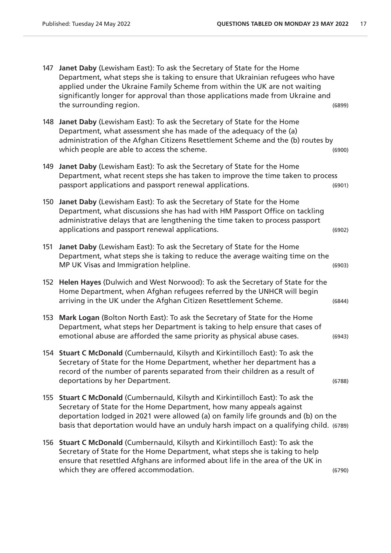147 **Janet Daby** (Lewisham East): To ask the Secretary of State for the Home Department, what steps she is taking to ensure that Ukrainian refugees who have applied under the Ukraine Family Scheme from within the UK are not waiting significantly longer for approval than those applications made from Ukraine and the surrounding region. (6899) 148 **Janet Daby** (Lewisham East): To ask the Secretary of State for the Home Department, what assessment she has made of the adequacy of the (a) administration of the Afghan Citizens Resettlement Scheme and the (b) routes by which people are able to access the scheme.  $(6900)$ 149 **Janet Daby** (Lewisham East): To ask the Secretary of State for the Home Department, what recent steps she has taken to improve the time taken to process passport applications and passport renewal applications. (6901) 150 **Janet Daby** (Lewisham East): To ask the Secretary of State for the Home Department, what discussions she has had with HM Passport Office on tackling administrative delays that are lengthening the time taken to process passport applications and passport renewal applications. (6902) 151 **Janet Daby** (Lewisham East): To ask the Secretary of State for the Home Department, what steps she is taking to reduce the average waiting time on the MP UK Visas and Immigration helpline. (6903) 152 **Helen Hayes** (Dulwich and West Norwood): To ask the Secretary of State for the Home Department, when Afghan refugees referred by the UNHCR will begin arriving in the UK under the Afghan Citizen Resettlement Scheme. (6844) 153 **Mark Logan** (Bolton North East): To ask the Secretary of State for the Home Department, what steps her Department is taking to help ensure that cases of emotional abuse are afforded the same priority as physical abuse cases. (6943) 154 **Stuart C McDonald** (Cumbernauld, Kilsyth and Kirkintilloch East): To ask the Secretary of State for the Home Department, whether her department has a record of the number of parents separated from their children as a result of deportations by her Department. (6788) 155 **Stuart C McDonald** (Cumbernauld, Kilsyth and Kirkintilloch East): To ask the Secretary of State for the Home Department, how many appeals against deportation lodged in 2021 were allowed (a) on family life grounds and (b) on the basis that deportation would have an unduly harsh impact on a qualifying child. (6789) 156 **Stuart C McDonald** (Cumbernauld, Kilsyth and Kirkintilloch East): To ask the Secretary of State for the Home Department, what steps she is taking to help ensure that resettled Afghans are informed about life in the area of the UK in which they are offered accommodation. The same state of the state of  $(6790)$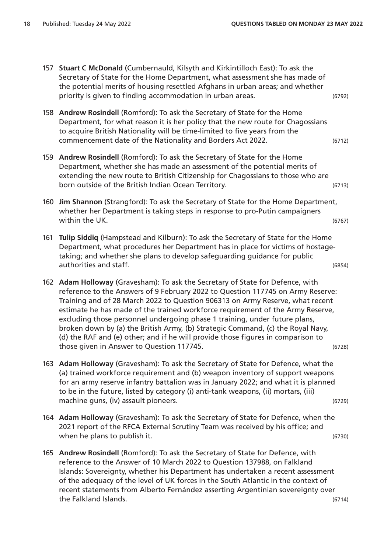| 157 | Stuart C McDonald (Cumbernauld, Kilsyth and Kirkintilloch East): To ask the<br>Secretary of State for the Home Department, what assessment she has made of<br>the potential merits of housing resettled Afghans in urban areas; and whether<br>priority is given to finding accommodation in urban areas.                                                                                                                                                                                                                                                                                                                              | (6792) |
|-----|----------------------------------------------------------------------------------------------------------------------------------------------------------------------------------------------------------------------------------------------------------------------------------------------------------------------------------------------------------------------------------------------------------------------------------------------------------------------------------------------------------------------------------------------------------------------------------------------------------------------------------------|--------|
|     | 158 Andrew Rosindell (Romford): To ask the Secretary of State for the Home<br>Department, for what reason it is her policy that the new route for Chagossians<br>to acquire British Nationality will be time-limited to five years from the<br>commencement date of the Nationality and Borders Act 2022.                                                                                                                                                                                                                                                                                                                              | (6712) |
|     | 159 Andrew Rosindell (Romford): To ask the Secretary of State for the Home<br>Department, whether she has made an assessment of the potential merits of<br>extending the new route to British Citizenship for Chagossians to those who are<br>born outside of the British Indian Ocean Territory.                                                                                                                                                                                                                                                                                                                                      | (6713) |
| 160 | Jim Shannon (Strangford): To ask the Secretary of State for the Home Department,<br>whether her Department is taking steps in response to pro-Putin campaigners<br>within the UK.                                                                                                                                                                                                                                                                                                                                                                                                                                                      | (6767) |
| 161 | Tulip Siddiq (Hampstead and Kilburn): To ask the Secretary of State for the Home<br>Department, what procedures her Department has in place for victims of hostage-<br>taking; and whether she plans to develop safeguarding guidance for public<br>authorities and staff.                                                                                                                                                                                                                                                                                                                                                             | (6854) |
|     | 162 Adam Holloway (Gravesham): To ask the Secretary of State for Defence, with<br>reference to the Answers of 9 February 2022 to Question 117745 on Army Reserve:<br>Training and of 28 March 2022 to Question 906313 on Army Reserve, what recent<br>estimate he has made of the trained workforce requirement of the Army Reserve,<br>excluding those personnel undergoing phase 1 training, under future plans,<br>broken down by (a) the British Army, (b) Strategic Command, (c) the Royal Navy,<br>(d) the RAF and (e) other; and if he will provide those figures in comparison to<br>those given in Answer to Question 117745. | (6728) |
|     | 163 Adam Holloway (Gravesham): To ask the Secretary of State for Defence, what the<br>(a) trained workforce requirement and (b) weapon inventory of support weapons<br>for an army reserve infantry battalion was in January 2022; and what it is planned<br>to be in the future, listed by category (i) anti-tank weapons, (ii) mortars, (iii)<br>machine guns, (iv) assault pioneers.                                                                                                                                                                                                                                                | (6729) |
|     | 164 Adam Holloway (Gravesham): To ask the Secretary of State for Defence, when the<br>2021 report of the RFCA External Scrutiny Team was received by his office; and<br>when he plans to publish it.                                                                                                                                                                                                                                                                                                                                                                                                                                   | (6730) |
|     | 165 Andrew Rosindell (Romford): To ask the Secretary of State for Defence, with<br>reference to the Answer of 10 March 2022 to Question 137988, on Falkland                                                                                                                                                                                                                                                                                                                                                                                                                                                                            |        |

Islands: Sovereignty, whether his Department has undertaken a recent assessment of the adequacy of the level of UK forces in the South Atlantic in the context of recent statements from Alberto Fernández asserting Argentinian sovereignty over the Falkland Islands. (6714)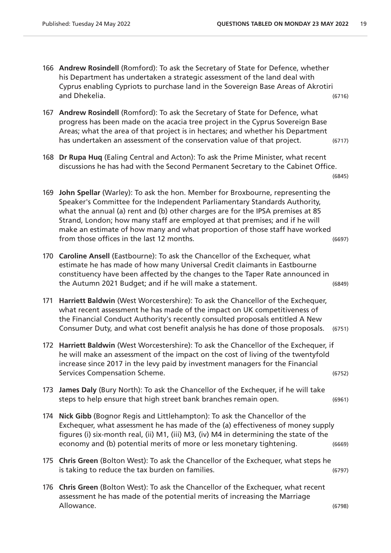166 **Andrew Rosindell** (Romford): To ask the Secretary of State for Defence, whether his Department has undertaken a strategic assessment of the land deal with Cyprus enabling Cypriots to purchase land in the Sovereign Base Areas of Akrotiri and Dhekelia. (6716) 167 **Andrew Rosindell** (Romford): To ask the Secretary of State for Defence, what progress has been made on the acacia tree project in the Cyprus Sovereign Base Areas; what the area of that project is in hectares; and whether his Department has undertaken an assessment of the conservation value of that project. (6717) 168 **Dr Rupa Huq** (Ealing Central and Acton): To ask the Prime Minister, what recent discussions he has had with the Second Permanent Secretary to the Cabinet Office. (6845) 169 **John Spellar** (Warley): To ask the hon. Member for Broxbourne, representing the Speaker's Committee for the Independent Parliamentary Standards Authority, what the annual (a) rent and (b) other charges are for the IPSA premises at 85 Strand, London; how many staff are employed at that premises; and if he will make an estimate of how many and what proportion of those staff have worked from those offices in the last 12 months. (6697) 170 **Caroline Ansell** (Eastbourne): To ask the Chancellor of the Exchequer, what estimate he has made of how many Universal Credit claimants in Eastbourne constituency have been affected by the changes to the Taper Rate announced in the Autumn 2021 Budget; and if he will make a statement. (6849) 171 **Harriett Baldwin** (West Worcestershire): To ask the Chancellor of the Exchequer, what recent assessment he has made of the impact on UK competitiveness of the Financial Conduct Authority's recently consulted proposals entitled A New Consumer Duty, and what cost benefit analysis he has done of those proposals. (6751) 172 **Harriett Baldwin** (West Worcestershire): To ask the Chancellor of the Exchequer, if he will make an assessment of the impact on the cost of living of the twentyfold increase since 2017 in the levy paid by investment managers for the Financial Services Compensation Scheme. (6752) 173 **James Daly** (Bury North): To ask the Chancellor of the Exchequer, if he will take steps to help ensure that high street bank branches remain open. (6961) 174 **Nick Gibb** (Bognor Regis and Littlehampton): To ask the Chancellor of the Exchequer, what assessment he has made of the (a) effectiveness of money supply figures (i) six-month real, (ii) M1, (iii) M3, (iv) M4 in determining the state of the economy and (b) potential merits of more or less monetary tightening. (6669) 175 **Chris Green** (Bolton West): To ask the Chancellor of the Exchequer, what steps he is taking to reduce the tax burden on families. (6797) 176 **Chris Green** (Bolton West): To ask the Chancellor of the Exchequer, what recent assessment he has made of the potential merits of increasing the Marriage Allowance. (6798)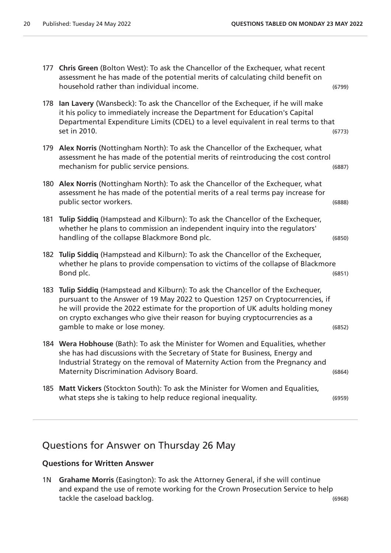177 **Chris Green** (Bolton West): To ask the Chancellor of the Exchequer, what recent assessment he has made of the potential merits of calculating child benefit on household rather than individual income. (6799) 178 **Ian Lavery** (Wansbeck): To ask the Chancellor of the Exchequer, if he will make it his policy to immediately increase the Department for Education's Capital Departmental Expenditure Limits (CDEL) to a level equivalent in real terms to that set in 2010. (6773) 179 **Alex Norris** (Nottingham North): To ask the Chancellor of the Exchequer, what assessment he has made of the potential merits of reintroducing the cost control mechanism for public service pensions. (6887) 180 **Alex Norris** (Nottingham North): To ask the Chancellor of the Exchequer, what assessment he has made of the potential merits of a real terms pay increase for public sector workers. (6888) 181 **Tulip Siddiq** (Hampstead and Kilburn): To ask the Chancellor of the Exchequer, whether he plans to commission an independent inquiry into the regulators' handling of the collapse Blackmore Bond plc. (6850) 182 **Tulip Siddiq** (Hampstead and Kilburn): To ask the Chancellor of the Exchequer, whether he plans to provide compensation to victims of the collapse of Blackmore Bond plc. (6851) 183 **Tulip Siddiq** (Hampstead and Kilburn): To ask the Chancellor of the Exchequer, pursuant to the Answer of 19 May 2022 to Question 1257 on Cryptocurrencies, if he will provide the 2022 estimate for the proportion of UK adults holding money on crypto exchanges who give their reason for buying cryptocurrencies as a gamble to make or lose money. (6852) 184 **Wera Hobhouse** (Bath): To ask the Minister for Women and Equalities, whether she has had discussions with the Secretary of State for Business, Energy and Industrial Strategy on the removal of Maternity Action from the Pregnancy and Maternity Discrimination Advisory Board. (6864) 185 **Matt Vickers** (Stockton South): To ask the Minister for Women and Equalities, what steps she is taking to help reduce regional inequality. (6959)

# Questions for Answer on Thursday 26 May

### **Questions for Written Answer**

1N **Grahame Morris** (Easington): To ask the Attorney General, if she will continue and expand the use of remote working for the Crown Prosecution Service to help tackle the caseload backlog. (6968)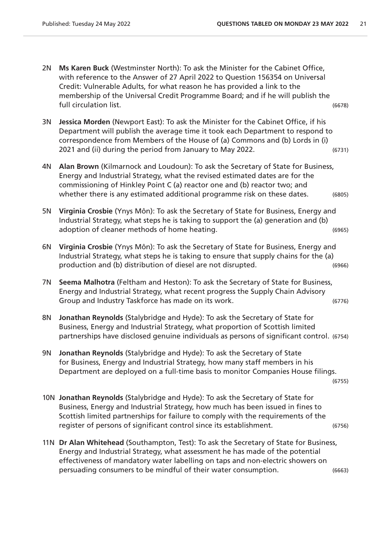- 2N **Ms Karen Buck** (Westminster North): To ask the Minister for the Cabinet Office, with reference to the Answer of 27 April 2022 to Question 156354 on Universal Credit: Vulnerable Adults, for what reason he has provided a link to the membership of the Universal Credit Programme Board; and if he will publish the full circulation list. (6678)
- 3N **Jessica Morden** (Newport East): To ask the Minister for the Cabinet Office, if his Department will publish the average time it took each Department to respond to correspondence from Members of the House of (a) Commons and (b) Lords in (i) 2021 and (ii) during the period from January to May 2022. (6731)
- 4N **Alan Brown** (Kilmarnock and Loudoun): To ask the Secretary of State for Business, Energy and Industrial Strategy, what the revised estimated dates are for the commissioning of Hinkley Point C (a) reactor one and (b) reactor two; and whether there is any estimated additional programme risk on these dates. (6805)
- 5N **Virginia Crosbie** (Ynys Môn): To ask the Secretary of State for Business, Energy and Industrial Strategy, what steps he is taking to support the (a) generation and (b) adoption of cleaner methods of home heating. (6965)
- 6N **Virginia Crosbie** (Ynys Môn): To ask the Secretary of State for Business, Energy and Industrial Strategy, what steps he is taking to ensure that supply chains for the (a) production and (b) distribution of diesel are not disrupted. (6966)
- 7N **Seema Malhotra** (Feltham and Heston): To ask the Secretary of State for Business, Energy and Industrial Strategy, what recent progress the Supply Chain Advisory Group and Industry Taskforce has made on its work. (6776)
- 8N **Jonathan Reynolds** (Stalybridge and Hyde): To ask the Secretary of State for Business, Energy and Industrial Strategy, what proportion of Scottish limited partnerships have disclosed genuine individuals as persons of significant control. (6754)
- 9N **Jonathan Reynolds** (Stalybridge and Hyde): To ask the Secretary of State for Business, Energy and Industrial Strategy, how many staff members in his Department are deployed on a full-time basis to monitor Companies House filings.

(6755)

- 10N **Jonathan Reynolds** (Stalybridge and Hyde): To ask the Secretary of State for Business, Energy and Industrial Strategy, how much has been issued in fines to Scottish limited partnerships for failure to comply with the requirements of the register of persons of significant control since its establishment. (6756)
- 11N **Dr Alan Whitehead** (Southampton, Test): To ask the Secretary of State for Business, Energy and Industrial Strategy, what assessment he has made of the potential effectiveness of mandatory water labelling on taps and non-electric showers on persuading consumers to be mindful of their water consumption. (6663)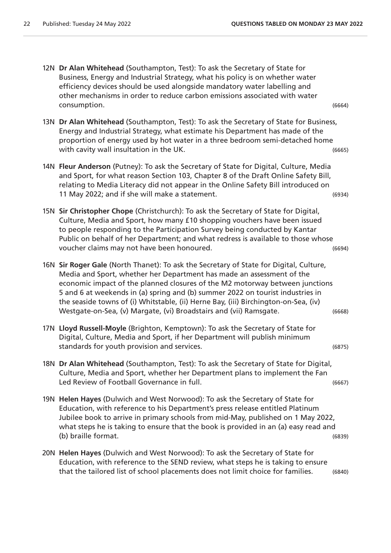- 12N **Dr Alan Whitehead** (Southampton, Test): To ask the Secretary of State for Business, Energy and Industrial Strategy, what his policy is on whether water efficiency devices should be used alongside mandatory water labelling and other mechanisms in order to reduce carbon emissions associated with water consumption. (6664)
- 13N **Dr Alan Whitehead** (Southampton, Test): To ask the Secretary of State for Business, Energy and Industrial Strategy, what estimate his Department has made of the proportion of energy used by hot water in a three bedroom semi-detached home with cavity wall insultation in the UK.  $(6665)$
- 14N **Fleur Anderson** (Putney): To ask the Secretary of State for Digital, Culture, Media and Sport, for what reason Section 103, Chapter 8 of the Draft Online Safety Bill, relating to Media Literacy did not appear in the Online Safety Bill introduced on 11 May 2022; and if she will make a statement. (6934)
- 15N **Sir Christopher Chope** (Christchurch): To ask the Secretary of State for Digital, Culture, Media and Sport, how many £10 shopping vouchers have been issued to people responding to the Participation Survey being conducted by Kantar Public on behalf of her Department; and what redress is available to those whose voucher claims may not have been honoured. (6694)
- 16N **Sir Roger Gale** (North Thanet): To ask the Secretary of State for Digital, Culture, Media and Sport, whether her Department has made an assessment of the economic impact of the planned closures of the M2 motorway between junctions 5 and 6 at weekends in (a) spring and (b) summer 2022 on tourist industries in the seaside towns of (i) Whitstable, (ii) Herne Bay, (iii) Birchington-on-Sea, (iv) Westgate-on-Sea, (v) Margate, (vi) Broadstairs and (vii) Ramsgate. (6668)
- 17N **Lloyd Russell-Moyle** (Brighton, Kemptown): To ask the Secretary of State for Digital, Culture, Media and Sport, if her Department will publish minimum standards for youth provision and services. (6875)
- 18N **Dr Alan Whitehead** (Southampton, Test): To ask the Secretary of State for Digital, Culture, Media and Sport, whether her Department plans to implement the Fan Led Review of Football Governance in full. The same state of the control of the control of the control of the control of the control of the control of the control of the control of the control of the control of the control
- 19N **Helen Hayes** (Dulwich and West Norwood): To ask the Secretary of State for Education, with reference to his Department's press release entitled Platinum Jubilee book to arrive in primary schools from mid-May, published on 1 May 2022, what steps he is taking to ensure that the book is provided in an (a) easy read and (b) braille format. (6839)
- 20N **Helen Hayes** (Dulwich and West Norwood): To ask the Secretary of State for Education, with reference to the SEND review, what steps he is taking to ensure that the tailored list of school placements does not limit choice for families. (6840)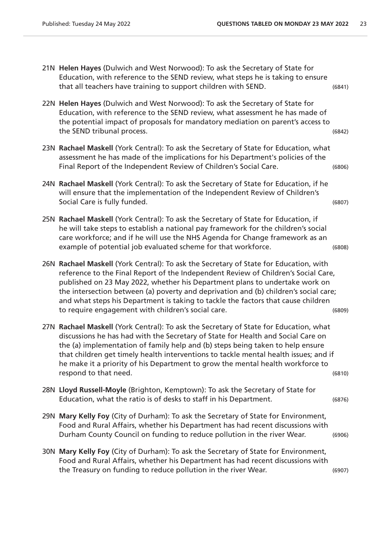- 21N **Helen Hayes** (Dulwich and West Norwood): To ask the Secretary of State for Education, with reference to the SEND review, what steps he is taking to ensure that all teachers have training to support children with SEND. (6841)
- 22N **Helen Hayes** (Dulwich and West Norwood): To ask the Secretary of State for Education, with reference to the SEND review, what assessment he has made of the potential impact of proposals for mandatory mediation on parent's access to the SEND tribunal process. (6842)
- 23N **Rachael Maskell** (York Central): To ask the Secretary of State for Education, what assessment he has made of the implications for his Department's policies of the Final Report of the Independent Review of Children's Social Care. (6806)
- 24N **Rachael Maskell** (York Central): To ask the Secretary of State for Education, if he will ensure that the implementation of the Independent Review of Children's Social Care is fully funded. (6807)
- 25N **Rachael Maskell** (York Central): To ask the Secretary of State for Education, if he will take steps to establish a national pay framework for the children's social care workforce; and if he will use the NHS Agenda for Change framework as an example of potential job evaluated scheme for that workforce. (6808)
- 26N **Rachael Maskell** (York Central): To ask the Secretary of State for Education, with reference to the Final Report of the Independent Review of Children's Social Care, published on 23 May 2022, whether his Department plans to undertake work on the intersection between (a) poverty and deprivation and (b) children's social care; and what steps his Department is taking to tackle the factors that cause children to require engagement with children's social care. (6809)
- 27N **Rachael Maskell** (York Central): To ask the Secretary of State for Education, what discussions he has had with the Secretary of State for Health and Social Care on the (a) implementation of family help and (b) steps being taken to help ensure that children get timely health interventions to tackle mental health issues; and if he make it a priority of his Department to grow the mental health workforce to respond to that need. (6810)
- 28N **Lloyd Russell-Moyle** (Brighton, Kemptown): To ask the Secretary of State for Education, what the ratio is of desks to staff in his Department. (6876)
- 29N **Mary Kelly Foy** (City of Durham): To ask the Secretary of State for Environment, Food and Rural Affairs, whether his Department has had recent discussions with Durham County Council on funding to reduce pollution in the river Wear. (6906)
- 30N **Mary Kelly Foy** (City of Durham): To ask the Secretary of State for Environment, Food and Rural Affairs, whether his Department has had recent discussions with the Treasury on funding to reduce pollution in the river Wear. (6907)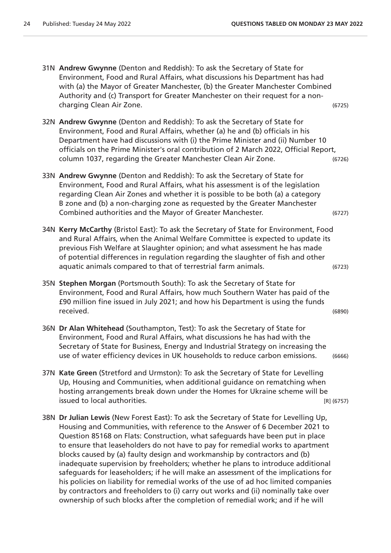- 31N **Andrew Gwynne** (Denton and Reddish): To ask the Secretary of State for Environment, Food and Rural Affairs, what discussions his Department has had with (a) the Mayor of Greater Manchester, (b) the Greater Manchester Combined Authority and (c) Transport for Greater Manchester on their request for a noncharging Clean Air Zone. (6725)
- 32N **Andrew Gwynne** (Denton and Reddish): To ask the Secretary of State for Environment, Food and Rural Affairs, whether (a) he and (b) officials in his Department have had discussions with (i) the Prime Minister and (ii) Number 10 officials on the Prime Minister's oral contribution of 2 March 2022, Official Report, column 1037, regarding the Greater Manchester Clean Air Zone. (6726)
- 33N **Andrew Gwynne** (Denton and Reddish): To ask the Secretary of State for Environment, Food and Rural Affairs, what his assessment is of the legislation regarding Clean Air Zones and whether it is possible to be both (a) a category B zone and (b) a non-charging zone as requested by the Greater Manchester Combined authorities and the Mayor of Greater Manchester. (6727)
- 34N **Kerry McCarthy** (Bristol East): To ask the Secretary of State for Environment, Food and Rural Affairs, when the Animal Welfare Committee is expected to update its previous Fish Welfare at Slaughter opinion; and what assessment he has made of potential differences in regulation regarding the slaughter of fish and other aquatic animals compared to that of terrestrial farm animals. (6723)
- 35N **Stephen Morgan** (Portsmouth South): To ask the Secretary of State for Environment, Food and Rural Affairs, how much Southern Water has paid of the £90 million fine issued in July 2021; and how his Department is using the funds received. (6890)
- 36N **Dr Alan Whitehead** (Southampton, Test): To ask the Secretary of State for Environment, Food and Rural Affairs, what discussions he has had with the Secretary of State for Business, Energy and Industrial Strategy on increasing the use of water efficiency devices in UK households to reduce carbon emissions. (6666)
- 37N **Kate Green** (Stretford and Urmston): To ask the Secretary of State for Levelling Up, Housing and Communities, when additional guidance on rematching when hosting arrangements break down under the Homes for Ukraine scheme will be issued to local authorities. [R] (6757)
- 38N **Dr Julian Lewis** (New Forest East): To ask the Secretary of State for Levelling Up, Housing and Communities, with reference to the Answer of 6 December 2021 to Question 85168 on Flats: Construction, what safeguards have been put in place to ensure that leaseholders do not have to pay for remedial works to apartment blocks caused by (a) faulty design and workmanship by contractors and (b) inadequate supervision by freeholders; whether he plans to introduce additional safeguards for leaseholders; if he will make an assessment of the implications for his policies on liability for remedial works of the use of ad hoc limited companies by contractors and freeholders to (i) carry out works and (ii) nominally take over ownership of such blocks after the completion of remedial work; and if he will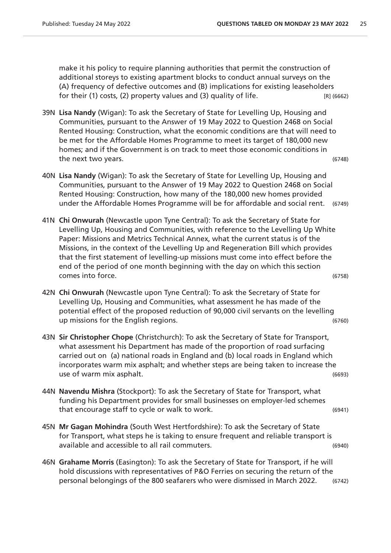make it his policy to require planning authorities that permit the construction of additional storeys to existing apartment blocks to conduct annual surveys on the (A) frequency of defective outcomes and (B) implications for existing leaseholders for their (1) costs, (2) property values and (3) quality of life.  $[R] (6662)$ 

- 39N **Lisa Nandy** (Wigan): To ask the Secretary of State for Levelling Up, Housing and Communities, pursuant to the Answer of 19 May 2022 to Question 2468 on Social Rented Housing: Construction, what the economic conditions are that will need to be met for the Affordable Homes Programme to meet its target of 180,000 new homes; and if the Government is on track to meet those economic conditions in the next two years. (6748)
- 40N **Lisa Nandy** (Wigan): To ask the Secretary of State for Levelling Up, Housing and Communities, pursuant to the Answer of 19 May 2022 to Question 2468 on Social Rented Housing: Construction, how many of the 180,000 new homes provided under the Affordable Homes Programme will be for affordable and social rent. (6749)
- 41N **Chi Onwurah** (Newcastle upon Tyne Central): To ask the Secretary of State for Levelling Up, Housing and Communities, with reference to the Levelling Up White Paper: Missions and Metrics Technical Annex, what the current status is of the Missions, in the context of the Levelling Up and Regeneration Bill which provides that the first statement of levelling-up missions must come into effect before the end of the period of one month beginning with the day on which this section comes into force. (6758)
- 42N **Chi Onwurah** (Newcastle upon Tyne Central): To ask the Secretary of State for Levelling Up, Housing and Communities, what assessment he has made of the potential effect of the proposed reduction of 90,000 civil servants on the levelling up missions for the English regions. (6760)
- 43N **Sir Christopher Chope** (Christchurch): To ask the Secretary of State for Transport, what assessment his Department has made of the proportion of road surfacing carried out on (a) national roads in England and (b) local roads in England which incorporates warm mix asphalt; and whether steps are being taken to increase the use of warm mix asphalt. (6693)
- 44N **Navendu Mishra** (Stockport): To ask the Secretary of State for Transport, what funding his Department provides for small businesses on employer-led schemes that encourage staff to cycle or walk to work. (6941)
- 45N **Mr Gagan Mohindra** (South West Hertfordshire): To ask the Secretary of State for Transport, what steps he is taking to ensure frequent and reliable transport is available and accessible to all rail commuters. (6940)
- 46N **Grahame Morris** (Easington): To ask the Secretary of State for Transport, if he will hold discussions with representatives of P&O Ferries on securing the return of the personal belongings of the 800 seafarers who were dismissed in March 2022. (6742)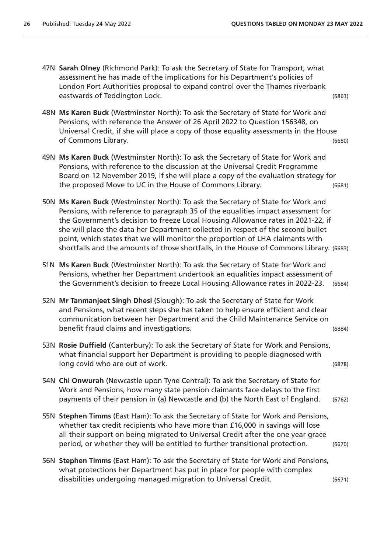- 47N **Sarah Olney** (Richmond Park): To ask the Secretary of State for Transport, what assessment he has made of the implications for his Department's policies of London Port Authorities proposal to expand control over the Thames riverbank eastwards of Teddington Lock. (6863)
- 48N **Ms Karen Buck** (Westminster North): To ask the Secretary of State for Work and Pensions, with reference the Answer of 26 April 2022 to Question 156348, on Universal Credit, if she will place a copy of those equality assessments in the House of Commons Library. (6680)
- 49N **Ms Karen Buck** (Westminster North): To ask the Secretary of State for Work and Pensions, with reference to the discussion at the Universal Credit Programme Board on 12 November 2019, if she will place a copy of the evaluation strategy for the proposed Move to UC in the House of Commons Library. (6681)
- 50N **Ms Karen Buck** (Westminster North): To ask the Secretary of State for Work and Pensions, with reference to paragraph 35 of the equalities impact assessment for the Government's decision to freeze Local Housing Allowance rates in 2021-22, if she will place the data her Department collected in respect of the second bullet point, which states that we will monitor the proportion of LHA claimants with shortfalls and the amounts of those shortfalls, in the House of Commons Library. (6683)
- 51N **Ms Karen Buck** (Westminster North): To ask the Secretary of State for Work and Pensions, whether her Department undertook an equalities impact assessment of the Government's decision to freeze Local Housing Allowance rates in 2022-23. (6684)
- 52N **Mr Tanmanjeet Singh Dhesi** (Slough): To ask the Secretary of State for Work and Pensions, what recent steps she has taken to help ensure efficient and clear communication between her Department and the Child Maintenance Service on benefit fraud claims and investigations. (6884)
- 53N **Rosie Duffield** (Canterbury): To ask the Secretary of State for Work and Pensions, what financial support her Department is providing to people diagnosed with long covid who are out of work. (6878)
- 54N **Chi Onwurah** (Newcastle upon Tyne Central): To ask the Secretary of State for Work and Pensions, how many state pension claimants face delays to the first payments of their pension in (a) Newcastle and (b) the North East of England. (6762)
- 55N **Stephen Timms** (East Ham): To ask the Secretary of State for Work and Pensions, whether tax credit recipients who have more than £16,000 in savings will lose all their support on being migrated to Universal Credit after the one year grace period, or whether they will be entitled to further transitional protection. (6670)
- 56N **Stephen Timms** (East Ham): To ask the Secretary of State for Work and Pensions, what protections her Department has put in place for people with complex disabilities undergoing managed migration to Universal Credit. (6671)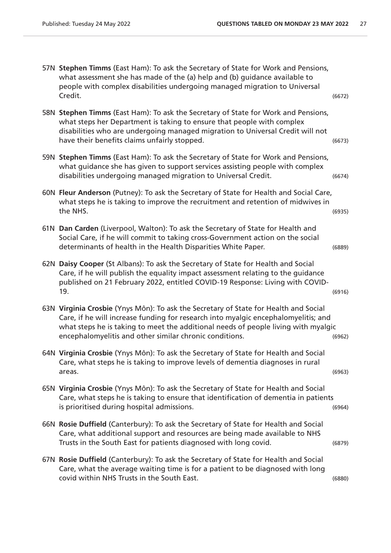| 58N Stephen Timms (East Ham): To ask the Secretary of State for Work and Pensions,<br>what steps her Department is taking to ensure that people with complex<br>disabilities who are undergoing managed migration to Universal Credit will not<br>have their benefits claims unfairly stopped.<br>59N Stephen Timms (East Ham): To ask the Secretary of State for Work and Pensions,<br>what guidance she has given to support services assisting people with complex<br>disabilities undergoing managed migration to Universal Credit.<br>60N Fleur Anderson (Putney): To ask the Secretary of State for Health and Social Care,<br>what steps he is taking to improve the recruitment and retention of midwives in<br>the NHS.<br>61N Dan Carden (Liverpool, Walton): To ask the Secretary of State for Health and<br>Social Care, if he will commit to taking cross-Government action on the social<br>determinants of health in the Health Disparities White Paper.<br>62N Daisy Cooper (St Albans): To ask the Secretary of State for Health and Social | (6672) |
|--------------------------------------------------------------------------------------------------------------------------------------------------------------------------------------------------------------------------------------------------------------------------------------------------------------------------------------------------------------------------------------------------------------------------------------------------------------------------------------------------------------------------------------------------------------------------------------------------------------------------------------------------------------------------------------------------------------------------------------------------------------------------------------------------------------------------------------------------------------------------------------------------------------------------------------------------------------------------------------------------------------------------------------------------------------|--------|
|                                                                                                                                                                                                                                                                                                                                                                                                                                                                                                                                                                                                                                                                                                                                                                                                                                                                                                                                                                                                                                                              | (6673) |
|                                                                                                                                                                                                                                                                                                                                                                                                                                                                                                                                                                                                                                                                                                                                                                                                                                                                                                                                                                                                                                                              | (6674) |
|                                                                                                                                                                                                                                                                                                                                                                                                                                                                                                                                                                                                                                                                                                                                                                                                                                                                                                                                                                                                                                                              | (6935) |
|                                                                                                                                                                                                                                                                                                                                                                                                                                                                                                                                                                                                                                                                                                                                                                                                                                                                                                                                                                                                                                                              | (6889) |
| Care, if he will publish the equality impact assessment relating to the guidance<br>published on 21 February 2022, entitled COVID-19 Response: Living with COVID-<br>19.                                                                                                                                                                                                                                                                                                                                                                                                                                                                                                                                                                                                                                                                                                                                                                                                                                                                                     | (6916) |
| 63N Virginia Crosbie (Ynys Môn): To ask the Secretary of State for Health and Social<br>Care, if he will increase funding for research into myalgic encephalomyelitis; and<br>what steps he is taking to meet the additional needs of people living with myalgic<br>encephalomyelitis and other similar chronic conditions.                                                                                                                                                                                                                                                                                                                                                                                                                                                                                                                                                                                                                                                                                                                                  | (6962) |
| 64N Virginia Crosbie (Ynys Môn): To ask the Secretary of State for Health and Social<br>Care, what steps he is taking to improve levels of dementia diagnoses in rural<br>areas.                                                                                                                                                                                                                                                                                                                                                                                                                                                                                                                                                                                                                                                                                                                                                                                                                                                                             | (6963) |
| 65N Virginia Crosbie (Ynys Môn): To ask the Secretary of State for Health and Social<br>Care, what steps he is taking to ensure that identification of dementia in patients<br>is prioritised during hospital admissions.                                                                                                                                                                                                                                                                                                                                                                                                                                                                                                                                                                                                                                                                                                                                                                                                                                    | (6964) |
| 66N Rosie Duffield (Canterbury): To ask the Secretary of State for Health and Social<br>Care, what additional support and resources are being made available to NHS<br>Trusts in the South East for patients diagnosed with long covid.                                                                                                                                                                                                                                                                                                                                                                                                                                                                                                                                                                                                                                                                                                                                                                                                                      | (6879) |
| 67N Rosie Duffield (Canterbury): To ask the Secretary of State for Health and Social<br>Care, what the average waiting time is for a patient to be diagnosed with long<br>covid within NHS Trusts in the South East.                                                                                                                                                                                                                                                                                                                                                                                                                                                                                                                                                                                                                                                                                                                                                                                                                                         | (6880) |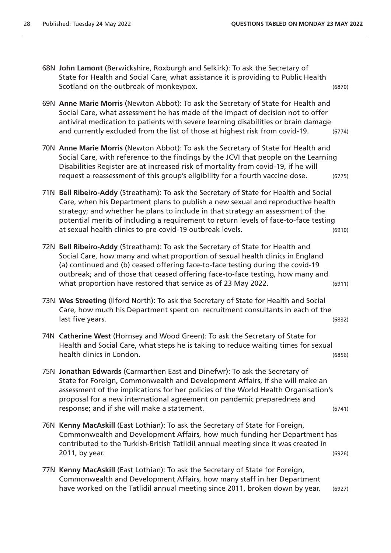- 68N **John Lamont** (Berwickshire, Roxburgh and Selkirk): To ask the Secretary of State for Health and Social Care, what assistance it is providing to Public Health Scotland on the outbreak of monkeypox. (6870)
- 69N **Anne Marie Morris** (Newton Abbot): To ask the Secretary of State for Health and Social Care, what assessment he has made of the impact of decision not to offer antiviral medication to patients with severe learning disabilities or brain damage and currently excluded from the list of those at highest risk from covid-19. (6774)
- 70N **Anne Marie Morris** (Newton Abbot): To ask the Secretary of State for Health and Social Care, with reference to the findings by the JCVI that people on the Learning Disabilities Register are at increased risk of mortality from covid-19, if he will request a reassessment of this group's eligibility for a fourth vaccine dose. (6775)
- 71N **Bell Ribeiro-Addy** (Streatham): To ask the Secretary of State for Health and Social Care, when his Department plans to publish a new sexual and reproductive health strategy; and whether he plans to include in that strategy an assessment of the potential merits of including a requirement to return levels of face-to-face testing at sexual health clinics to pre-covid-19 outbreak levels. (6910)
- 72N **Bell Ribeiro-Addy** (Streatham): To ask the Secretary of State for Health and Social Care, how many and what proportion of sexual health clinics in England (a) continued and (b) ceased offering face-to-face testing during the covid-19 outbreak; and of those that ceased offering face-to-face testing, how many and what proportion have restored that service as of 23 May 2022. (6911)
- 73N **Wes Streeting** (Ilford North): To ask the Secretary of State for Health and Social Care, how much his Department spent on recruitment consultants in each of the last five years. (6832)
- 74N **Catherine West** (Hornsey and Wood Green): To ask the Secretary of State for Health and Social Care, what steps he is taking to reduce waiting times for sexual health clinics in London. (6856)
- 75N **Jonathan Edwards** (Carmarthen East and Dinefwr): To ask the Secretary of State for Foreign, Commonwealth and Development Affairs, if she will make an assessment of the implications for her policies of the World Health Organisation's proposal for a new international agreement on pandemic preparedness and response; and if she will make a statement. (6741)
- 76N **Kenny MacAskill** (East Lothian): To ask the Secretary of State for Foreign, Commonwealth and Development Affairs, how much funding her Department has contributed to the Turkish-British Tatlidil annual meeting since it was created in 2011, by year. (6926)
- 77N **Kenny MacAskill** (East Lothian): To ask the Secretary of State for Foreign, Commonwealth and Development Affairs, how many staff in her Department have worked on the Tatlidil annual meeting since 2011, broken down by year. (6927)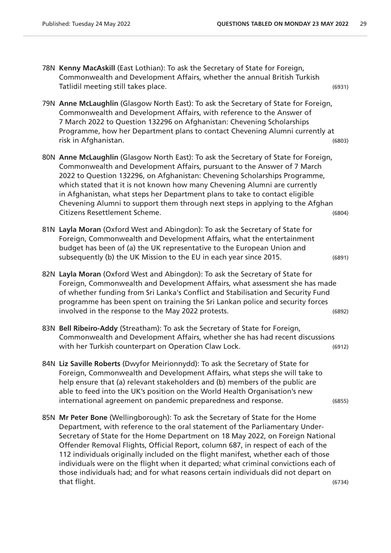- 78N **Kenny MacAskill** (East Lothian): To ask the Secretary of State for Foreign, Commonwealth and Development Affairs, whether the annual British Turkish Tatlidil meeting still takes place. (6931)
- 79N **Anne McLaughlin** (Glasgow North East): To ask the Secretary of State for Foreign, Commonwealth and Development Affairs, with reference to the Answer of 7 March 2022 to Question 132296 on Afghanistan: Chevening Scholarships Programme, how her Department plans to contact Chevening Alumni currently at risk in Afghanistan. (6803)
- 80N **Anne McLaughlin** (Glasgow North East): To ask the Secretary of State for Foreign, Commonwealth and Development Affairs, pursuant to the Answer of 7 March 2022 to Question 132296, on Afghanistan: Chevening Scholarships Programme, which stated that it is not known how many Chevening Alumni are currently in Afghanistan, what steps her Department plans to take to contact eligible Chevening Alumni to support them through next steps in applying to the Afghan Citizens Resettlement Scheme. (6804)
- 81N **Layla Moran** (Oxford West and Abingdon): To ask the Secretary of State for Foreign, Commonwealth and Development Affairs, what the entertainment budget has been of (a) the UK representative to the European Union and subsequently (b) the UK Mission to the EU in each year since 2015. (6891)
- 82N **Layla Moran** (Oxford West and Abingdon): To ask the Secretary of State for Foreign, Commonwealth and Development Affairs, what assessment she has made of whether funding from Sri Lanka's Conflict and Stabilisation and Security Fund programme has been spent on training the Sri Lankan police and security forces involved in the response to the May 2022 protests. (6892)
- 83N **Bell Ribeiro-Addy** (Streatham): To ask the Secretary of State for Foreign, Commonwealth and Development Affairs, whether she has had recent discussions with her Turkish counterpart on Operation Claw Lock. (6912)
- 84N **Liz Saville Roberts** (Dwyfor Meirionnydd): To ask the Secretary of State for Foreign, Commonwealth and Development Affairs, what steps she will take to help ensure that (a) relevant stakeholders and (b) members of the public are able to feed into the UK's position on the World Health Organisation's new international agreement on pandemic preparedness and response. (6855)
- 85N **Mr Peter Bone** (Wellingborough): To ask the Secretary of State for the Home Department, with reference to the oral statement of the Parliamentary Under-Secretary of State for the Home Department on 18 May 2022, on Foreign National Offender Removal Flights, Official Report, column 687, in respect of each of the 112 individuals originally included on the flight manifest, whether each of those individuals were on the flight when it departed; what criminal convictions each of those individuals had; and for what reasons certain individuals did not depart on that flight. (6734)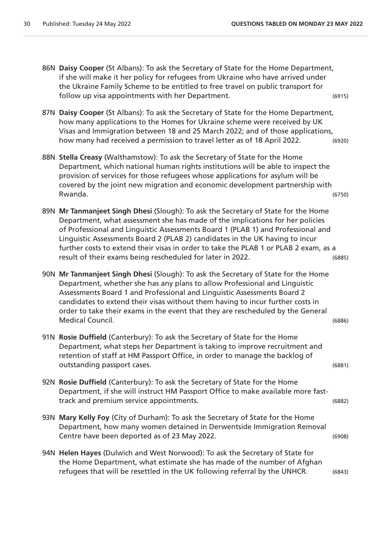| 86N Daisy Cooper (St Albans): To ask the Secretary of State for the Home Department,<br>if she will make it her policy for refugees from Ukraine who have arrived under<br>the Ukraine Family Scheme to be entitled to free travel on public transport for<br>follow up visa appointments with her Department.                                                                                                                                                                                | (6915) |
|-----------------------------------------------------------------------------------------------------------------------------------------------------------------------------------------------------------------------------------------------------------------------------------------------------------------------------------------------------------------------------------------------------------------------------------------------------------------------------------------------|--------|
| 87N Daisy Cooper (St Albans): To ask the Secretary of State for the Home Department,<br>how many applications to the Homes for Ukraine scheme were received by UK<br>Visas and Immigration between 18 and 25 March 2022; and of those applications,<br>how many had received a permission to travel letter as of 18 April 2022.                                                                                                                                                               | (6920) |
| 88N Stella Creasy (Walthamstow): To ask the Secretary of State for the Home<br>Department, which national human rights institutions will be able to inspect the<br>provision of services for those refugees whose applications for asylum will be<br>covered by the joint new migration and economic development partnership with<br>Rwanda.                                                                                                                                                  | (6750) |
| 89N Mr Tanmanjeet Singh Dhesi (Slough): To ask the Secretary of State for the Home<br>Department, what assessment she has made of the implications for her policies<br>of Professional and Linguistic Assessments Board 1 (PLAB 1) and Professional and<br>Linguistic Assessments Board 2 (PLAB 2) candidates in the UK having to incur<br>further costs to extend their visas in order to take the PLAB 1 or PLAB 2 exam, as a<br>result of their exams being rescheduled for later in 2022. | (6885) |
| 90N Mr Tanmanjeet Singh Dhesi (Slough): To ask the Secretary of State for the Home<br>Department, whether she has any plans to allow Professional and Linguistic<br>Assessments Board 1 and Professional and Linguistic Assessments Board 2<br>candidates to extend their visas without them having to incur further costs in<br>order to take their exams in the event that they are rescheduled by the General<br>Medical Council.                                                          | (6886) |
| 91N Rosie Duffield (Canterbury): To ask the Secretary of State for the Home<br>Department, what steps her Department is taking to improve recruitment and<br>retention of staff at HM Passport Office, in order to manage the backlog of<br>outstanding passport cases.                                                                                                                                                                                                                       | (6881) |
| 92N Rosie Duffield (Canterbury): To ask the Secretary of State for the Home<br>Department, if she will instruct HM Passport Office to make available more fast-<br>track and premium service appointments.                                                                                                                                                                                                                                                                                    | (6882) |
| 93N Mary Kelly Foy (City of Durham): To ask the Secretary of State for the Home<br>Department, how many women detained in Derwentside Immigration Removal<br>Centre have been deported as of 23 May 2022.                                                                                                                                                                                                                                                                                     | (6908) |
| 94N Helen Hayes (Dulwich and West Norwood): To ask the Secretary of State for<br>the Home Department, what estimate she has made of the number of Afghan<br>refugees that will be resettled in the UK following referral by the UNHCR.                                                                                                                                                                                                                                                        | (6843) |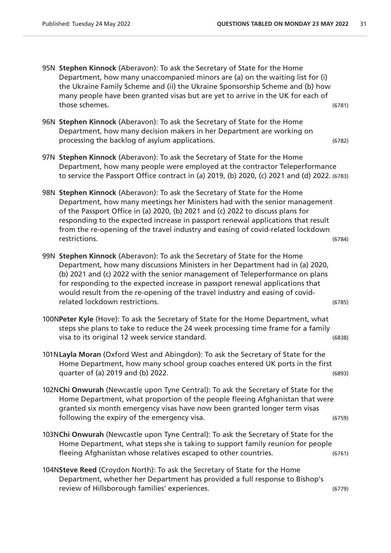- 95N **Stephen Kinnock** (Aberavon): To ask the Secretary of State for the Home Department, how many unaccompanied minors are (a) on the waiting list for (i) the Ukraine Family Scheme and (ii) the Ukraine Sponsorship Scheme and (b) how many people have been granted visas but are yet to arrive in the UK for each of those schemes. (6781)
- 96N **Stephen Kinnock** (Aberavon): To ask the Secretary of State for the Home Department, how many decision makers in her Department are working on processing the backlog of asylum applications. (6782)
- 97N **Stephen Kinnock** (Aberavon): To ask the Secretary of State for the Home Department, how many people were employed at the contractor Teleperformance to service the Passport Office contract in (a) 2019, (b) 2020, (c) 2021 and (d) 2022. (6783)
- 98N **Stephen Kinnock** (Aberavon): To ask the Secretary of State for the Home Department, how many meetings her Ministers had with the senior management of the Passport Office in (a) 2020, (b) 2021 and (c) 2022 to discuss plans for responding to the expected increase in passport renewal applications that result from the re-opening of the travel industry and easing of covid-related lockdown restrictions. (6784)
- 99N **Stephen Kinnock** (Aberavon): To ask the Secretary of State for the Home Department, how many discussions Ministers in her Department had in (a) 2020, (b) 2021 and (c) 2022 with the senior management of Teleperformance on plans for responding to the expected increase in passport renewal applications that would result from the re-opening of the travel industry and easing of covidrelated lockdown restrictions. (6785)
- 100N**Peter Kyle** (Hove): To ask the Secretary of State for the Home Department, what steps she plans to take to reduce the 24 week processing time frame for a family visa to its original 12 week service standard. (6838)
- 101N**Layla Moran** (Oxford West and Abingdon): To ask the Secretary of State for the Home Department, how many school group coaches entered UK ports in the first quarter of (a) 2019 and (b) 2022. (6893)
- 102N**Chi Onwurah** (Newcastle upon Tyne Central): To ask the Secretary of State for the Home Department, what proportion of the people fleeing Afghanistan that were granted six month emergency visas have now been granted longer term visas following the expiry of the emergency visa. (6759)
- 103N**Chi Onwurah** (Newcastle upon Tyne Central): To ask the Secretary of State for the Home Department, what steps she is taking to support family reunion for people fleeing Afghanistan whose relatives escaped to other countries. (6761)
- 104N**Steve Reed** (Croydon North): To ask the Secretary of State for the Home Department, whether her Department has provided a full response to Bishop's review of Hillsborough families' experiences. (6779)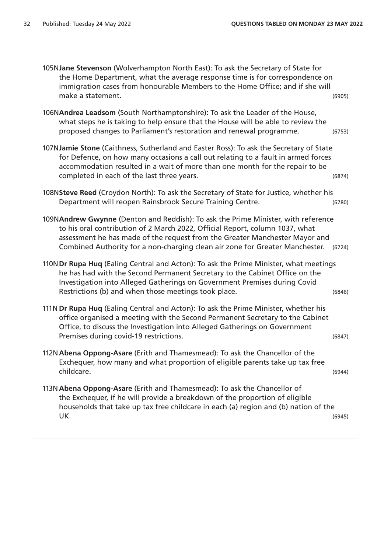| 105NJane Stevenson (Wolverhampton North East): To ask the Secretary of State for<br>the Home Department, what the average response time is for correspondence on<br>immigration cases from honourable Members to the Home Office; and if she will<br>make a statement.                                                           | (6905) |
|----------------------------------------------------------------------------------------------------------------------------------------------------------------------------------------------------------------------------------------------------------------------------------------------------------------------------------|--------|
| 106NAndrea Leadsom (South Northamptonshire): To ask the Leader of the House,<br>what steps he is taking to help ensure that the House will be able to review the<br>proposed changes to Parliament's restoration and renewal programme.                                                                                          | (6753) |
| 107NJamie Stone (Caithness, Sutherland and Easter Ross): To ask the Secretary of State<br>for Defence, on how many occasions a call out relating to a fault in armed forces<br>accommodation resulted in a wait of more than one month for the repair to be<br>completed in each of the last three years.                        | (6874) |
| 108NSteve Reed (Croydon North): To ask the Secretary of State for Justice, whether his<br>Department will reopen Rainsbrook Secure Training Centre.                                                                                                                                                                              | (6780) |
| 109NAndrew Gwynne (Denton and Reddish): To ask the Prime Minister, with reference<br>to his oral contribution of 2 March 2022, Official Report, column 1037, what<br>assessment he has made of the request from the Greater Manchester Mayor and<br>Combined Authority for a non-charging clean air zone for Greater Manchester. | (6724) |
| 110N Dr Rupa Huq (Ealing Central and Acton): To ask the Prime Minister, what meetings<br>he has had with the Second Permanent Secretary to the Cabinet Office on the<br>Investigation into Alleged Gatherings on Government Premises during Covid<br>Restrictions (b) and when those meetings took place.                        | (6846) |
| 111N Dr Rupa Huq (Ealing Central and Acton): To ask the Prime Minister, whether his<br>office organised a meeting with the Second Permanent Secretary to the Cabinet<br>Office, to discuss the Investigation into Alleged Gatherings on Government<br>Premises during covid-19 restrictions.                                     | (6847) |
| 112N Abena Oppong-Asare (Erith and Thamesmead): To ask the Chancellor of the<br>Exchequer, how many and what proportion of eligible parents take up tax free<br>childcare.                                                                                                                                                       | (6944) |
| 113N Abena Oppong-Asare (Erith and Thamesmead): To ask the Chancellor of<br>the Exchequer, if he will provide a breakdown of the proportion of eligible<br>households that take up tax free childcare in each (a) region and (b) nation of the<br>UK.                                                                            | (6945) |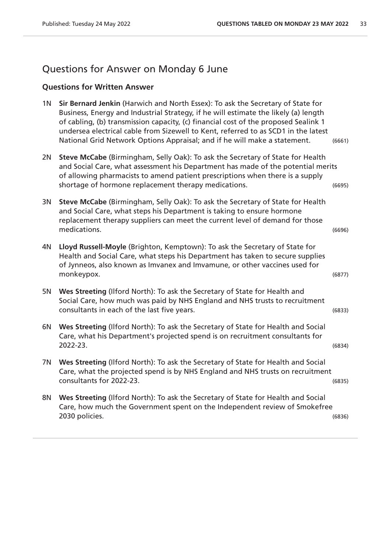### Questions for Answer on Monday 6 June

### **Questions for Written Answer**

|      | 1N Sir Bernard Jenkin (Harwich and North Essex): To ask the Secretary of State for<br>Business, Energy and Industrial Strategy, if he will estimate the likely (a) length<br>of cabling, (b) transmission capacity, (c) financial cost of the proposed Sealink 1<br>undersea electrical cable from Sizewell to Kent, referred to as SCD1 in the latest<br>National Grid Network Options Appraisal; and if he will make a statement. | (6661) |
|------|-------------------------------------------------------------------------------------------------------------------------------------------------------------------------------------------------------------------------------------------------------------------------------------------------------------------------------------------------------------------------------------------------------------------------------------|--------|
| 2N . | Steve McCabe (Birmingham, Selly Oak): To ask the Secretary of State for Health<br>and Social Care, what assessment his Department has made of the potential merits<br>of allowing pharmacists to amend patient prescriptions when there is a supply<br>shortage of hormone replacement therapy medications.                                                                                                                         | (6695) |

- 3N **Steve McCabe** (Birmingham, Selly Oak): To ask the Secretary of State for Health and Social Care, what steps his Department is taking to ensure hormone replacement therapy suppliers can meet the current level of demand for those medications. (6696)
- 4N **Lloyd Russell-Moyle** (Brighton, Kemptown): To ask the Secretary of State for Health and Social Care, what steps his Department has taken to secure supplies of Jynneos, also known as Imvanex and Imvamune, or other vaccines used for monkeypox. (6877)
- 5N **Wes Streeting** (Ilford North): To ask the Secretary of State for Health and Social Care, how much was paid by NHS England and NHS trusts to recruitment consultants in each of the last five years. (6833)
- 6N **Wes Streeting** (Ilford North): To ask the Secretary of State for Health and Social Care, what his Department's projected spend is on recruitment consultants for 2022-23. (6834)
- 7N **Wes Streeting** (Ilford North): To ask the Secretary of State for Health and Social Care, what the projected spend is by NHS England and NHS trusts on recruitment consultants for 2022-23. (6835)
- 8N **Wes Streeting** (Ilford North): To ask the Secretary of State for Health and Social Care, how much the Government spent on the Independent review of Smokefree 2030 policies. (6836)